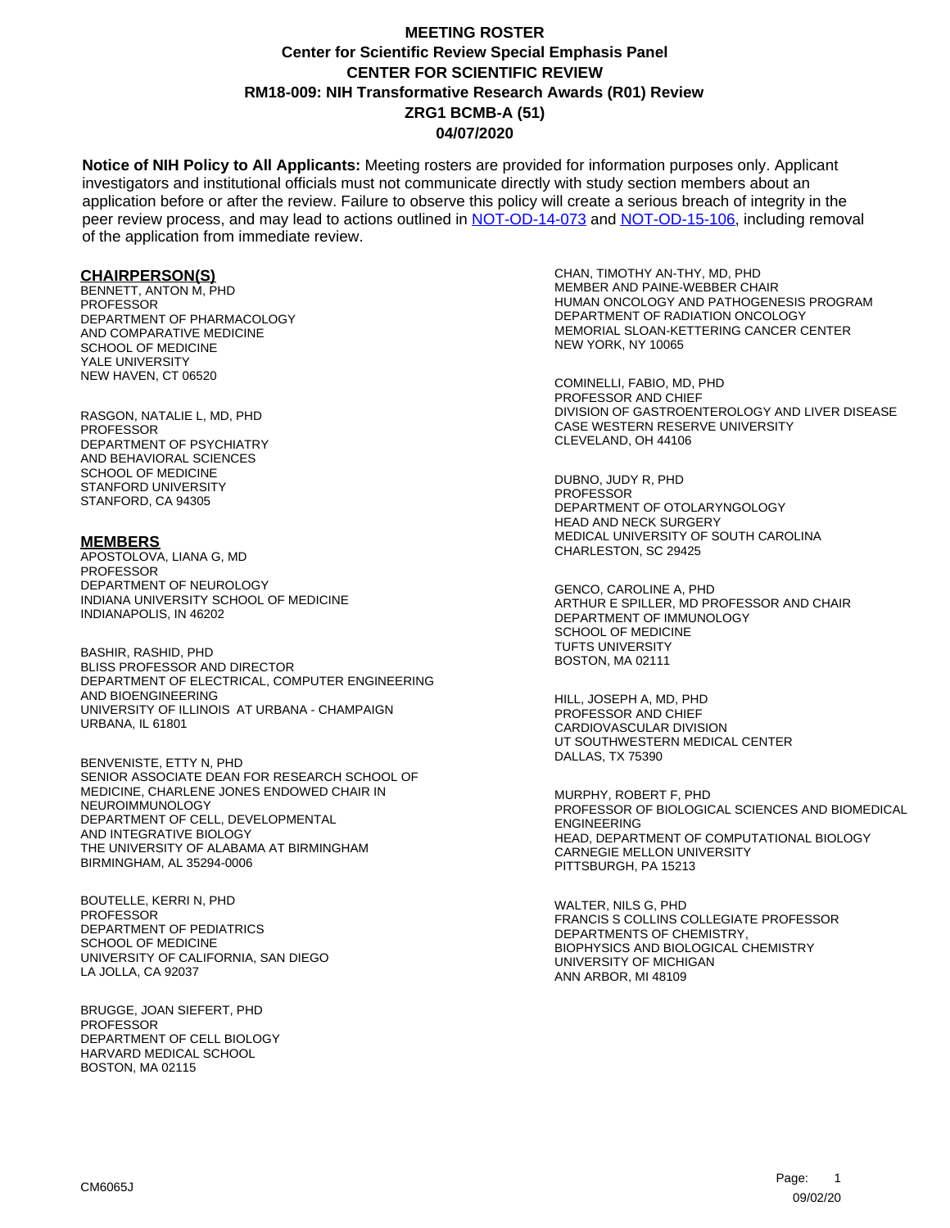**Notice of NIH Policy to All Applicants:** Meeting rosters are provided for information purposes only. Applicant investigators and institutional officials must not communicate directly with study section members about an application before or after the review. Failure to observe this policy will create a serious breach of integrity in the peer review process, and may lead to actions outlined in [NOT-OD-14-073](https://grants.nih.gov/grants/guide/notice-files/NOT-OD-14-073.html) and [NOT-OD-15-106,](https://grants.nih.gov/grants/guide/notice-files/NOT-OD-15-106.html) including removal of the application from immediate review.

#### **CHAIRPERSON(S)**

BENNETT, ANTON M, PHD **PROFESSOR** DEPARTMENT OF PHARMACOLOGY AND COMPARATIVE MEDICINE SCHOOL OF MEDICINE YALE UNIVERSITY NEW HAVEN, CT 06520

RASGON, NATALIE L, MD, PHD PROFESSOR DEPARTMENT OF PSYCHIATRY AND BEHAVIORAL SCIENCES SCHOOL OF MEDICINE STANFORD UNIVERSITY STANFORD, CA 94305

#### **MEMBERS**

APOSTOLOVA, LIANA G, MD PROFESSOR DEPARTMENT OF NEUROLOGY INDIANA UNIVERSITY SCHOOL OF MEDICINE INDIANAPOLIS, IN 46202

BASHIR, RASHID, PHD BLISS PROFESSOR AND DIRECTOR DEPARTMENT OF ELECTRICAL, COMPUTER ENGINEERING AND BIOENGINEERING UNIVERSITY OF ILLINOIS AT URBANA - CHAMPAIGN URBANA, IL 61801

BENVENISTE, ETTY N, PHD SENIOR ASSOCIATE DEAN FOR RESEARCH SCHOOL OF MEDICINE, CHARLENE JONES ENDOWED CHAIR IN NEUROIMMUNOLOGY DEPARTMENT OF CELL, DEVELOPMENTAL AND INTEGRATIVE BIOLOGY THE UNIVERSITY OF ALABAMA AT BIRMINGHAM BIRMINGHAM, AL 35294-0006

BOUTELLE, KERRI N, PHD **PROFESSOR** DEPARTMENT OF PEDIATRICS SCHOOL OF MEDICINE UNIVERSITY OF CALIFORNIA, SAN DIEGO LA JOLLA, CA 92037

BRUGGE, JOAN SIEFERT, PHD **PROFESSOR** DEPARTMENT OF CELL BIOLOGY HARVARD MEDICAL SCHOOL BOSTON, MA 02115

CHAN, TIMOTHY AN-THY, MD, PHD MEMBER AND PAINE-WEBBER CHAIR HUMAN ONCOLOGY AND PATHOGENESIS PROGRAM DEPARTMENT OF RADIATION ONCOLOGY MEMORIAL SLOAN-KETTERING CANCER CENTER NEW YORK, NY 10065

COMINELLI, FABIO, MD, PHD PROFESSOR AND CHIEF DIVISION OF GASTROENTEROLOGY AND LIVER DISEASE CASE WESTERN RESERVE UNIVERSITY CLEVELAND, OH 44106

DUBNO, JUDY R, PHD PROFESSOR DEPARTMENT OF OTOLARYNGOLOGY HEAD AND NECK SURGERY MEDICAL UNIVERSITY OF SOUTH CAROLINA CHARLESTON, SC 29425

GENCO, CAROLINE A, PHD ARTHUR E SPILLER, MD PROFESSOR AND CHAIR DEPARTMENT OF IMMUNOLOGY SCHOOL OF MEDICINE TUFTS UNIVERSITY BOSTON, MA 02111

HILL, JOSEPH A, MD, PHD PROFESSOR AND CHIEF CARDIOVASCULAR DIVISION UT SOUTHWESTERN MEDICAL CENTER DALLAS, TX 75390

MURPHY, ROBERT F, PHD PROFESSOR OF BIOLOGICAL SCIENCES AND BIOMEDICAL ENGINEERING HEAD, DEPARTMENT OF COMPUTATIONAL BIOLOGY CARNEGIE MELLON UNIVERSITY PITTSBURGH, PA 15213

WALTER, NILS G, PHD FRANCIS S COLLINS COLLEGIATE PROFESSOR DEPARTMENTS OF CHEMISTRY, BIOPHYSICS AND BIOLOGICAL CHEMISTRY UNIVERSITY OF MICHIGAN ANN ARBOR, MI 48109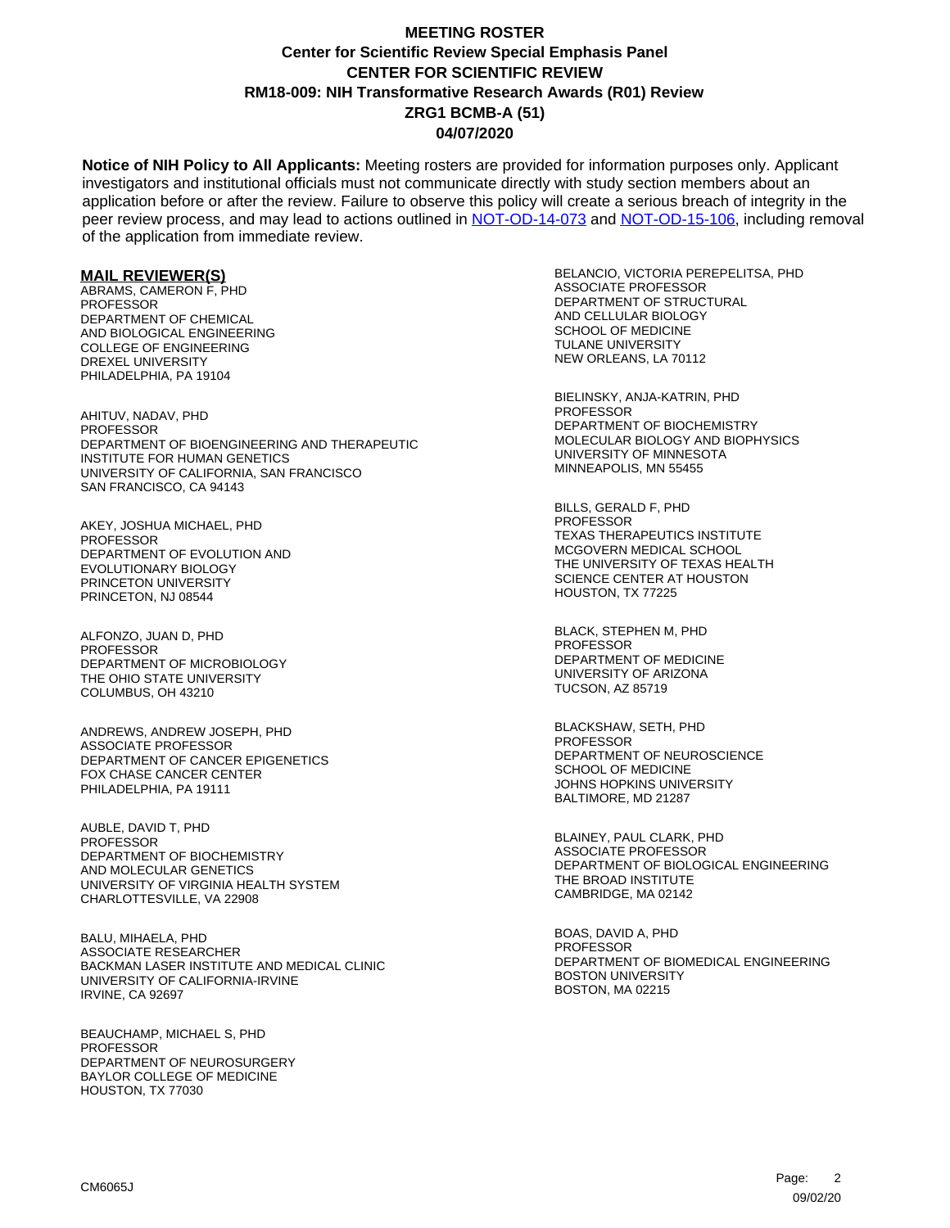**Notice of NIH Policy to All Applicants:** Meeting rosters are provided for information purposes only. Applicant investigators and institutional officials must not communicate directly with study section members about an application before or after the review. Failure to observe this policy will create a serious breach of integrity in the peer review process, and may lead to actions outlined in [NOT-OD-14-073](https://grants.nih.gov/grants/guide/notice-files/NOT-OD-14-073.html) and [NOT-OD-15-106,](https://grants.nih.gov/grants/guide/notice-files/NOT-OD-15-106.html) including removal of the application from immediate review.

#### **MAIL REVIEWER(S)**

ABRAMS, CAMERON F, PHD **PROFESSOR** DEPARTMENT OF CHEMICAL AND BIOLOGICAL ENGINEERING COLLEGE OF ENGINEERING DREXEL UNIVERSITY PHILADELPHIA, PA 19104

AHITUV, NADAV, PHD PROFESSOR DEPARTMENT OF BIOENGINEERING AND THERAPEUTIC INSTITUTE FOR HUMAN GENETICS UNIVERSITY OF CALIFORNIA, SAN FRANCISCO SAN FRANCISCO, CA 94143

AKEY, JOSHUA MICHAEL, PHD PROFESSOR DEPARTMENT OF EVOLUTION AND EVOLUTIONARY BIOLOGY PRINCETON UNIVERSITY PRINCETON, NJ 08544

ALFONZO, JUAN D, PHD PROFESSOR DEPARTMENT OF MICROBIOLOGY THE OHIO STATE UNIVERSITY COLUMBUS, OH 43210

ANDREWS, ANDREW JOSEPH, PHD ASSOCIATE PROFESSOR DEPARTMENT OF CANCER EPIGENETICS FOX CHASE CANCER CENTER PHILADELPHIA, PA 19111

AUBLE, DAVID T, PHD PROFESSOR DEPARTMENT OF BIOCHEMISTRY AND MOLECULAR GENETICS UNIVERSITY OF VIRGINIA HEALTH SYSTEM CHARLOTTESVILLE, VA 22908

BALU, MIHAELA, PHD ASSOCIATE RESEARCHER BACKMAN LASER INSTITUTE AND MEDICAL CLINIC UNIVERSITY OF CALIFORNIA-IRVINE IRVINE, CA 92697

BEAUCHAMP, MICHAEL S, PHD PROFESSOR DEPARTMENT OF NEUROSURGERY BAYLOR COLLEGE OF MEDICINE HOUSTON, TX 77030

BELANCIO, VICTORIA PEREPELITSA, PHD ASSOCIATE PROFESSOR DEPARTMENT OF STRUCTURAL AND CELLULAR BIOLOGY SCHOOL OF MEDICINE TULANE UNIVERSITY NEW ORLEANS, LA 70112

BIELINSKY, ANJA-KATRIN, PHD PROFESSOR DEPARTMENT OF BIOCHEMISTRY MOLECULAR BIOLOGY AND BIOPHYSICS UNIVERSITY OF MINNESOTA MINNEAPOLIS, MN 55455

BILLS, GERALD F, PHD PROFESSOR TEXAS THERAPEUTICS INSTITUTE MCGOVERN MEDICAL SCHOOL THE UNIVERSITY OF TEXAS HEALTH SCIENCE CENTER AT HOUSTON HOUSTON, TX 77225

BLACK, STEPHEN M, PHD PROFESSOR DEPARTMENT OF MEDICINE UNIVERSITY OF ARIZONA TUCSON, AZ 85719

BLACKSHAW, SETH, PHD PROFESSOR DEPARTMENT OF NEUROSCIENCE SCHOOL OF MEDICINE JOHNS HOPKINS UNIVERSITY BALTIMORE, MD 21287

BLAINEY, PAUL CLARK, PHD ASSOCIATE PROFESSOR DEPARTMENT OF BIOLOGICAL ENGINEERING THE BROAD INSTITUTE CAMBRIDGE, MA 02142

BOAS, DAVID A, PHD **PROFESSOR** DEPARTMENT OF BIOMEDICAL ENGINEERING BOSTON UNIVERSITY BOSTON, MA 02215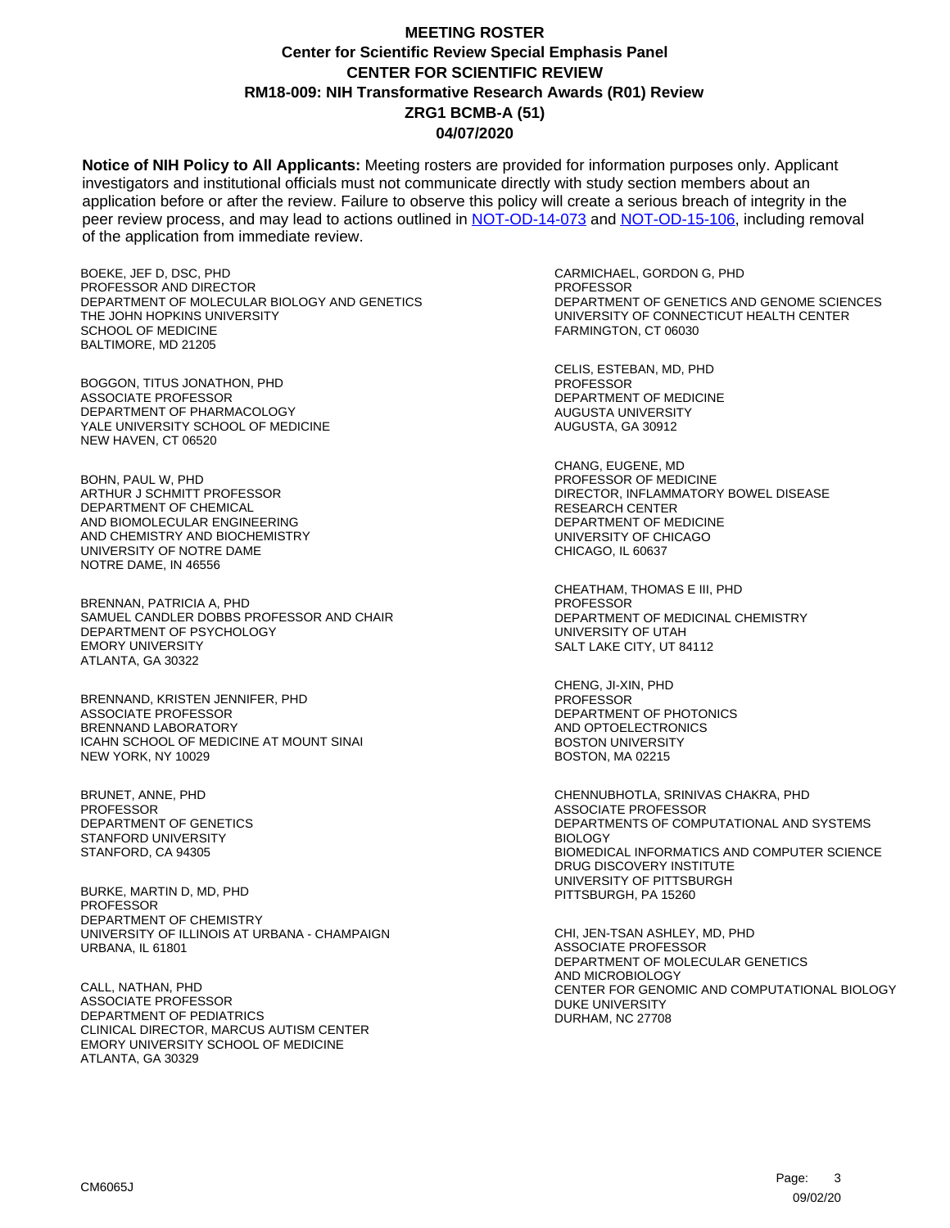**Notice of NIH Policy to All Applicants:** Meeting rosters are provided for information purposes only. Applicant investigators and institutional officials must not communicate directly with study section members about an application before or after the review. Failure to observe this policy will create a serious breach of integrity in the peer review process, and may lead to actions outlined in [NOT-OD-14-073](https://grants.nih.gov/grants/guide/notice-files/NOT-OD-14-073.html) and [NOT-OD-15-106,](https://grants.nih.gov/grants/guide/notice-files/NOT-OD-15-106.html) including removal of the application from immediate review.

BOEKE, JEF D, DSC, PHD PROFESSOR AND DIRECTOR DEPARTMENT OF MOLECULAR BIOLOGY AND GENETICS THE JOHN HOPKINS UNIVERSITY SCHOOL OF MEDICINE BALTIMORE, MD 21205

BOGGON, TITUS JONATHON, PHD ASSOCIATE PROFESSOR DEPARTMENT OF PHARMACOLOGY YALE UNIVERSITY SCHOOL OF MEDICINE NEW HAVEN, CT 06520

BOHN, PAUL W, PHD ARTHUR J SCHMITT PROFESSOR DEPARTMENT OF CHEMICAL AND BIOMOLECULAR ENGINEERING AND CHEMISTRY AND BIOCHEMISTRY UNIVERSITY OF NOTRE DAME NOTRE DAME, IN 46556

BRENNAN, PATRICIA A, PHD SAMUEL CANDLER DOBBS PROFESSOR AND CHAIR DEPARTMENT OF PSYCHOLOGY EMORY UNIVERSITY ATLANTA, GA 30322

BRENNAND, KRISTEN JENNIFER, PHD ASSOCIATE PROFESSOR BRENNAND LABORATORY ICAHN SCHOOL OF MEDICINE AT MOUNT SINAI NEW YORK, NY 10029

BRUNET, ANNE, PHD **PROFESSOR** DEPARTMENT OF GENETICS STANFORD UNIVERSITY STANFORD, CA 94305

BURKE, MARTIN D, MD, PHD PROFESSOR DEPARTMENT OF CHEMISTRY UNIVERSITY OF ILLINOIS AT URBANA - CHAMPAIGN URBANA, IL 61801

CALL, NATHAN, PHD ASSOCIATE PROFESSOR DEPARTMENT OF PEDIATRICS CLINICAL DIRECTOR, MARCUS AUTISM CENTER EMORY UNIVERSITY SCHOOL OF MEDICINE ATLANTA, GA 30329

CARMICHAEL, GORDON G, PHD PROFESSOR DEPARTMENT OF GENETICS AND GENOME SCIENCES UNIVERSITY OF CONNECTICUT HEALTH CENTER FARMINGTON, CT 06030

CELIS, ESTEBAN, MD, PHD **PROFESSOR** DEPARTMENT OF MEDICINE AUGUSTA UNIVERSITY AUGUSTA, GA 30912

CHANG, EUGENE, MD PROFESSOR OF MEDICINE DIRECTOR, INFLAMMATORY BOWEL DISEASE RESEARCH CENTER DEPARTMENT OF MEDICINE UNIVERSITY OF CHICAGO CHICAGO, IL 60637

CHEATHAM, THOMAS E III, PHD **PROFESSOR** DEPARTMENT OF MEDICINAL CHEMISTRY UNIVERSITY OF UTAH SALT LAKE CITY, UT 84112

CHENG, JI-XIN, PHD PROFESSOR DEPARTMENT OF PHOTONICS AND OPTOELECTRONICS BOSTON UNIVERSITY BOSTON, MA 02215

CHENNUBHOTLA, SRINIVAS CHAKRA, PHD ASSOCIATE PROFESSOR DEPARTMENTS OF COMPUTATIONAL AND SYSTEMS BIOLOGY BIOMEDICAL INFORMATICS AND COMPUTER SCIENCE DRUG DISCOVERY INSTITUTE UNIVERSITY OF PITTSBURGH PITTSBURGH, PA 15260

CHI, JEN-TSAN ASHLEY, MD, PHD ASSOCIATE PROFESSOR DEPARTMENT OF MOLECULAR GENETICS AND MICROBIOLOGY CENTER FOR GENOMIC AND COMPUTATIONAL BIOLOGY DUKE UNIVERSITY DURHAM, NC 27708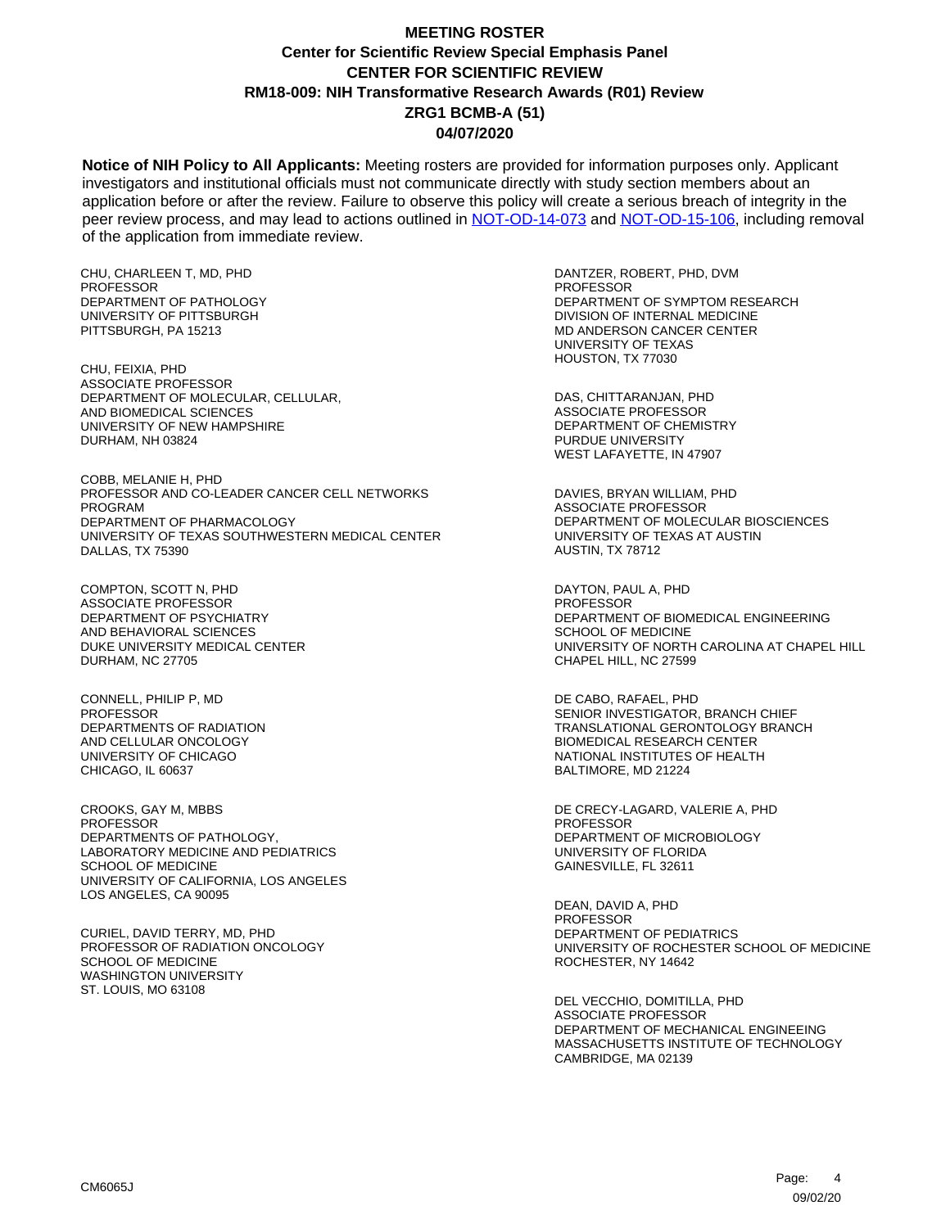**Notice of NIH Policy to All Applicants:** Meeting rosters are provided for information purposes only. Applicant investigators and institutional officials must not communicate directly with study section members about an application before or after the review. Failure to observe this policy will create a serious breach of integrity in the peer review process, and may lead to actions outlined in [NOT-OD-14-073](https://grants.nih.gov/grants/guide/notice-files/NOT-OD-14-073.html) and [NOT-OD-15-106,](https://grants.nih.gov/grants/guide/notice-files/NOT-OD-15-106.html) including removal of the application from immediate review.

CHU, CHARLEEN T, MD, PHD PROFESSOR DEPARTMENT OF PATHOLOGY UNIVERSITY OF PITTSBURGH PITTSBURGH, PA 15213

CHU, FEIXIA, PHD ASSOCIATE PROFESSOR DEPARTMENT OF MOLECULAR, CELLULAR, AND BIOMEDICAL SCIENCES UNIVERSITY OF NEW HAMPSHIRE DURHAM, NH 03824

COBB, MELANIE H, PHD PROFESSOR AND CO-LEADER CANCER CELL NETWORKS PROGRAM DEPARTMENT OF PHARMACOLOGY UNIVERSITY OF TEXAS SOUTHWESTERN MEDICAL CENTER DALLAS, TX 75390

COMPTON, SCOTT N, PHD ASSOCIATE PROFESSOR DEPARTMENT OF PSYCHIATRY AND BEHAVIORAL SCIENCES DUKE UNIVERSITY MEDICAL CENTER DURHAM, NC 27705

CONNELL, PHILIP P, MD **PROFESSOR** DEPARTMENTS OF RADIATION AND CELLULAR ONCOLOGY UNIVERSITY OF CHICAGO CHICAGO, IL 60637

CROOKS, GAY M, MBBS PROFESSOR DEPARTMENTS OF PATHOLOGY, LABORATORY MEDICINE AND PEDIATRICS SCHOOL OF MEDICINE UNIVERSITY OF CALIFORNIA, LOS ANGELES LOS ANGELES, CA 90095

CURIEL, DAVID TERRY, MD, PHD PROFESSOR OF RADIATION ONCOLOGY SCHOOL OF MEDICINE WASHINGTON UNIVERSITY ST. LOUIS, MO 63108

DANTZER, ROBERT, PHD, DVM PROFESSOR DEPARTMENT OF SYMPTOM RESEARCH DIVISION OF INTERNAL MEDICINE MD ANDERSON CANCER CENTER UNIVERSITY OF TEXAS HOUSTON, TX 77030

DAS, CHITTARANJAN, PHD ASSOCIATE PROFESSOR DEPARTMENT OF CHEMISTRY PURDUE UNIVERSITY WEST LAFAYETTE, IN 47907

DAVIES, BRYAN WILLIAM, PHD ASSOCIATE PROFESSOR DEPARTMENT OF MOLECULAR BIOSCIENCES UNIVERSITY OF TEXAS AT AUSTIN AUSTIN, TX 78712

DAYTON, PAUL A, PHD **PROFESSOR** DEPARTMENT OF BIOMEDICAL ENGINEERING SCHOOL OF MEDICINE UNIVERSITY OF NORTH CAROLINA AT CHAPEL HILL CHAPEL HILL, NC 27599

DE CABO, RAFAEL, PHD SENIOR INVESTIGATOR, BRANCH CHIEF TRANSLATIONAL GERONTOLOGY BRANCH BIOMEDICAL RESEARCH CENTER NATIONAL INSTITUTES OF HEALTH BALTIMORE, MD 21224

DE CRECY-LAGARD, VALERIE A, PHD PROFESSOR DEPARTMENT OF MICROBIOLOGY UNIVERSITY OF FLORIDA GAINESVILLE, FL 32611

DEAN, DAVID A, PHD PROFESSOR DEPARTMENT OF PEDIATRICS UNIVERSITY OF ROCHESTER SCHOOL OF MEDICINE ROCHESTER, NY 14642

DEL VECCHIO, DOMITILLA, PHD ASSOCIATE PROFESSOR DEPARTMENT OF MECHANICAL ENGINEEING MASSACHUSETTS INSTITUTE OF TECHNOLOGY CAMBRIDGE, MA 02139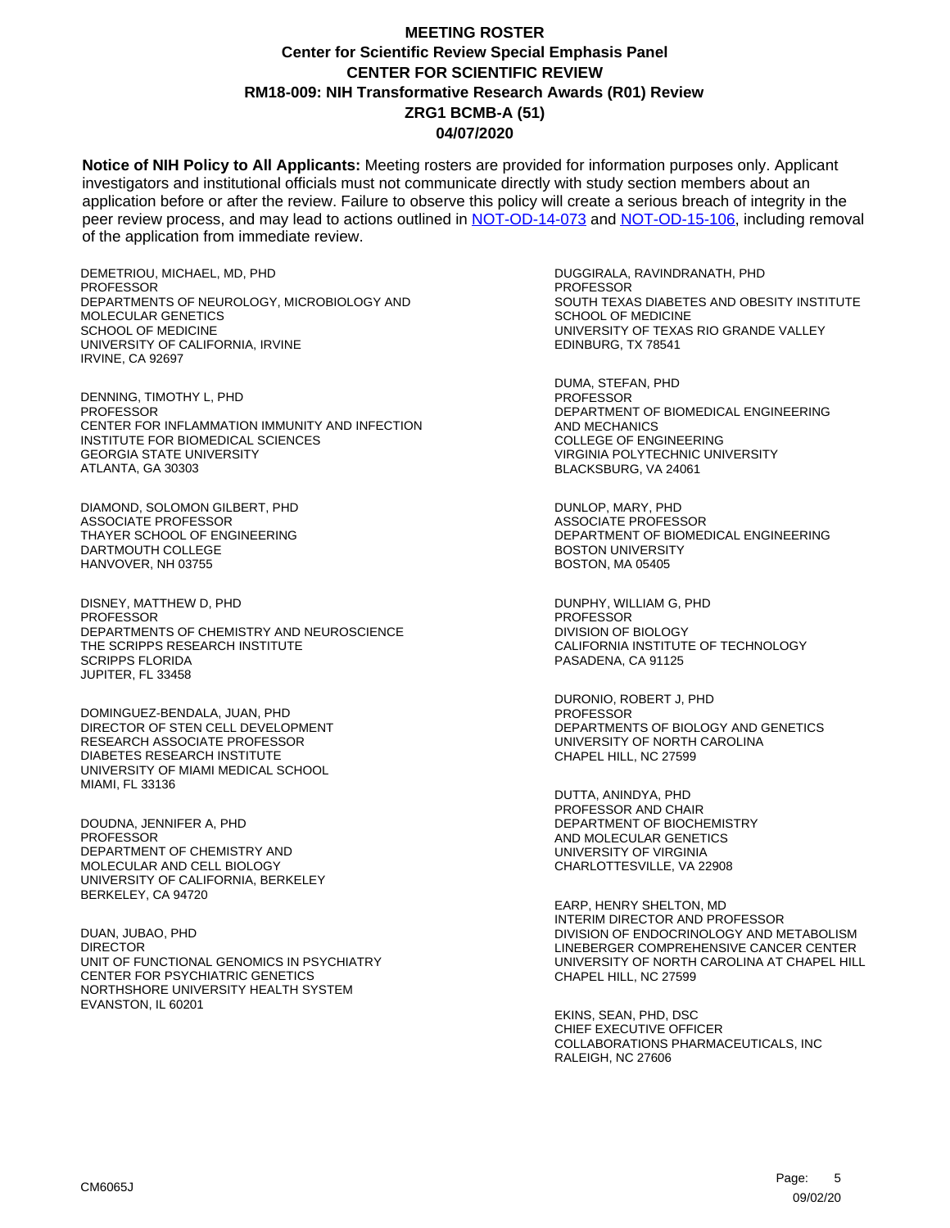**Notice of NIH Policy to All Applicants:** Meeting rosters are provided for information purposes only. Applicant investigators and institutional officials must not communicate directly with study section members about an application before or after the review. Failure to observe this policy will create a serious breach of integrity in the peer review process, and may lead to actions outlined in [NOT-OD-14-073](https://grants.nih.gov/grants/guide/notice-files/NOT-OD-14-073.html) and [NOT-OD-15-106,](https://grants.nih.gov/grants/guide/notice-files/NOT-OD-15-106.html) including removal of the application from immediate review.

DEMETRIOU, MICHAEL, MD, PHD PROFESSOR DEPARTMENTS OF NEUROLOGY, MICROBIOLOGY AND MOLECULAR GENETICS SCHOOL OF MEDICINE UNIVERSITY OF CALIFORNIA, IRVINE IRVINE, CA 92697

DENNING, TIMOTHY L, PHD **PROFESSOR** CENTER FOR INFLAMMATION IMMUNITY AND INFECTION INSTITUTE FOR BIOMEDICAL SCIENCES GEORGIA STATE UNIVERSITY ATLANTA, GA 30303

DIAMOND, SOLOMON GILBERT, PHD ASSOCIATE PROFESSOR THAYER SCHOOL OF ENGINEERING DARTMOUTH COLLEGE HANVOVER, NH 03755

DISNEY, MATTHEW D, PHD PROFESSOR DEPARTMENTS OF CHEMISTRY AND NEUROSCIENCE THE SCRIPPS RESEARCH INSTITUTE SCRIPPS FLORIDA JUPITER, FL 33458

DOMINGUEZ-BENDALA, JUAN, PHD DIRECTOR OF STEN CELL DEVELOPMENT RESEARCH ASSOCIATE PROFESSOR DIABETES RESEARCH INSTITUTE UNIVERSITY OF MIAMI MEDICAL SCHOOL MIAMI, FL 33136

DOUDNA, JENNIFER A, PHD **PROFESSOR** DEPARTMENT OF CHEMISTRY AND MOLECULAR AND CELL BIOLOGY UNIVERSITY OF CALIFORNIA, BERKELEY BERKELEY, CA 94720

DUAN, JUBAO, PHD DIRECTOR UNIT OF FUNCTIONAL GENOMICS IN PSYCHIATRY CENTER FOR PSYCHIATRIC GENETICS NORTHSHORE UNIVERSITY HEALTH SYSTEM EVANSTON, IL 60201

DUGGIRALA, RAVINDRANATH, PHD PROFESSOR SOUTH TEXAS DIABETES AND OBESITY INSTITUTE SCHOOL OF MEDICINE UNIVERSITY OF TEXAS RIO GRANDE VALLEY EDINBURG, TX 78541

DUMA, STEFAN, PHD **PROFESSOR** DEPARTMENT OF BIOMEDICAL ENGINEERING AND MECHANICS COLLEGE OF ENGINEERING VIRGINIA POLYTECHNIC UNIVERSITY BLACKSBURG, VA 24061

DUNLOP, MARY, PHD ASSOCIATE PROFESSOR DEPARTMENT OF BIOMEDICAL ENGINEERING BOSTON UNIVERSITY BOSTON, MA 05405

DUNPHY, WILLIAM G, PHD PROFESSOR DIVISION OF BIOLOGY CALIFORNIA INSTITUTE OF TECHNOLOGY PASADENA, CA 91125

DURONIO, ROBERT J, PHD PROFESSOR DEPARTMENTS OF BIOLOGY AND GENETICS UNIVERSITY OF NORTH CAROLINA CHAPEL HILL, NC 27599

DUTTA, ANINDYA, PHD PROFESSOR AND CHAIR DEPARTMENT OF BIOCHEMISTRY AND MOLECULAR GENETICS UNIVERSITY OF VIRGINIA CHARLOTTESVILLE, VA 22908

EARP, HENRY SHELTON, MD INTERIM DIRECTOR AND PROFESSOR DIVISION OF ENDOCRINOLOGY AND METABOLISM LINEBERGER COMPREHENSIVE CANCER CENTER UNIVERSITY OF NORTH CAROLINA AT CHAPEL HILL CHAPEL HILL, NC 27599

EKINS, SEAN, PHD, DSC CHIEF EXECUTIVE OFFICER COLLABORATIONS PHARMACEUTICALS, INC RALEIGH, NC 27606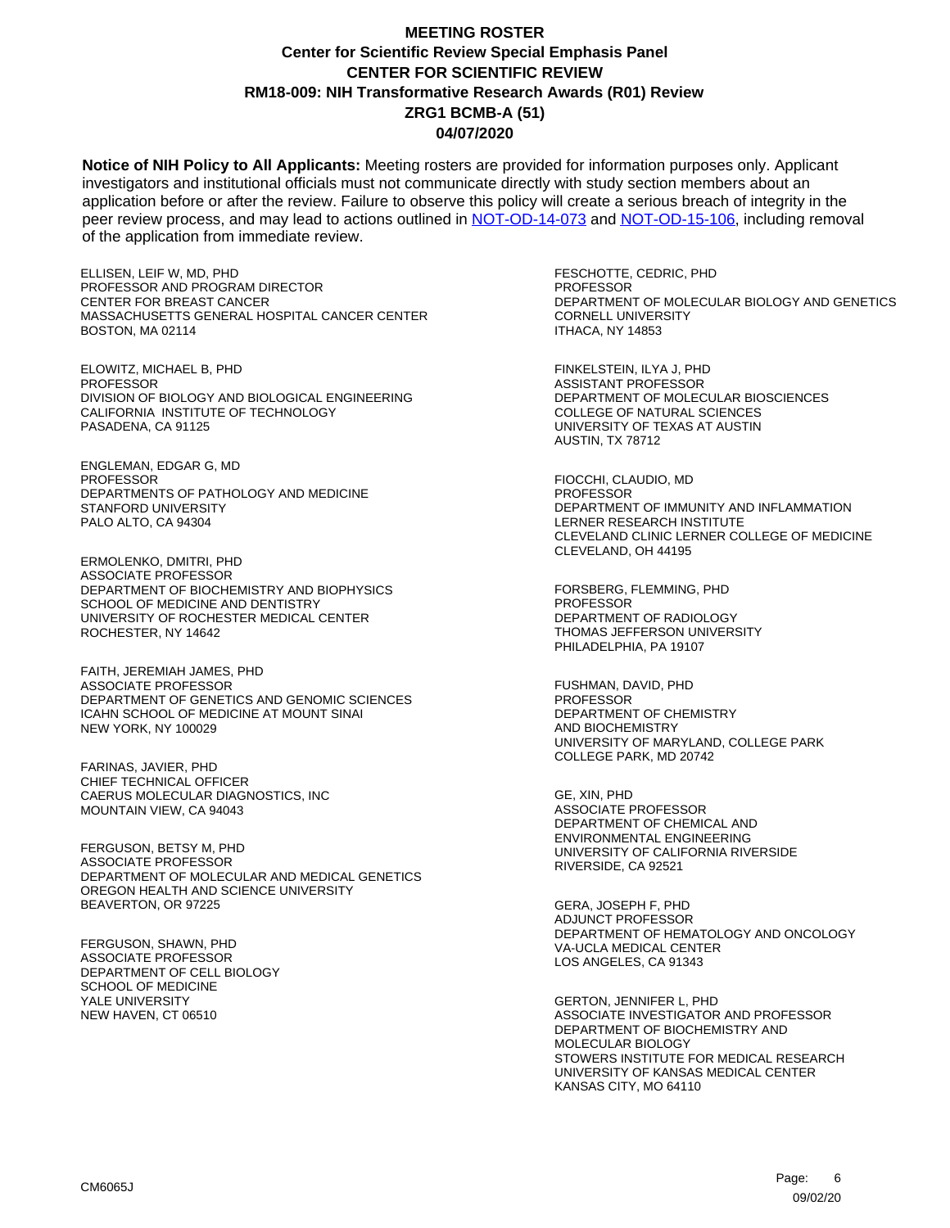**Notice of NIH Policy to All Applicants:** Meeting rosters are provided for information purposes only. Applicant investigators and institutional officials must not communicate directly with study section members about an application before or after the review. Failure to observe this policy will create a serious breach of integrity in the peer review process, and may lead to actions outlined in [NOT-OD-14-073](https://grants.nih.gov/grants/guide/notice-files/NOT-OD-14-073.html) and [NOT-OD-15-106,](https://grants.nih.gov/grants/guide/notice-files/NOT-OD-15-106.html) including removal of the application from immediate review.

ELLISEN, LEIF W, MD, PHD PROFESSOR AND PROGRAM DIRECTOR CENTER FOR BREAST CANCER MASSACHUSETTS GENERAL HOSPITAL CANCER CENTER BOSTON, MA 02114

ELOWITZ, MICHAEL B, PHD **PROFESSOR** DIVISION OF BIOLOGY AND BIOLOGICAL ENGINEERING CALIFORNIA INSTITUTE OF TECHNOLOGY PASADENA, CA 91125

ENGLEMAN, EDGAR G, MD PROFESSOR DEPARTMENTS OF PATHOLOGY AND MEDICINE STANFORD UNIVERSITY PALO ALTO, CA 94304

ERMOLENKO, DMITRI, PHD ASSOCIATE PROFESSOR DEPARTMENT OF BIOCHEMISTRY AND BIOPHYSICS SCHOOL OF MEDICINE AND DENTISTRY UNIVERSITY OF ROCHESTER MEDICAL CENTER ROCHESTER, NY 14642

FAITH, JEREMIAH JAMES, PHD ASSOCIATE PROFESSOR DEPARTMENT OF GENETICS AND GENOMIC SCIENCES ICAHN SCHOOL OF MEDICINE AT MOUNT SINAI NEW YORK, NY 100029

FARINAS, JAVIER, PHD CHIEF TECHNICAL OFFICER CAERUS MOLECULAR DIAGNOSTICS, INC MOUNTAIN VIEW, CA 94043

FERGUSON, BETSY M, PHD ASSOCIATE PROFESSOR DEPARTMENT OF MOLECULAR AND MEDICAL GENETICS OREGON HEALTH AND SCIENCE UNIVERSITY BEAVERTON, OR 97225

FERGUSON, SHAWN, PHD ASSOCIATE PROFESSOR DEPARTMENT OF CELL BIOLOGY SCHOOL OF MEDICINE YALE UNIVERSITY NEW HAVEN, CT 06510

FESCHOTTE, CEDRIC, PHD PROFESSOR DEPARTMENT OF MOLECULAR BIOLOGY AND GENETICS CORNELL UNIVERSITY ITHACA, NY 14853

FINKELSTEIN, ILYA J, PHD ASSISTANT PROFESSOR DEPARTMENT OF MOLECULAR BIOSCIENCES COLLEGE OF NATURAL SCIENCES UNIVERSITY OF TEXAS AT AUSTIN AUSTIN, TX 78712

FIOCCHI, CLAUDIO, MD **PROFESSOR** DEPARTMENT OF IMMUNITY AND INFLAMMATION LERNER RESEARCH INSTITUTE CLEVELAND CLINIC LERNER COLLEGE OF MEDICINE CLEVELAND, OH 44195

FORSBERG, FLEMMING, PHD **PROFESSOR** DEPARTMENT OF RADIOLOGY THOMAS JEFFERSON UNIVERSITY PHILADELPHIA, PA 19107

FUSHMAN, DAVID, PHD PROFESSOR DEPARTMENT OF CHEMISTRY AND BIOCHEMISTRY UNIVERSITY OF MARYLAND, COLLEGE PARK COLLEGE PARK, MD 20742

GE, XIN, PHD ASSOCIATE PROFESSOR DEPARTMENT OF CHEMICAL AND ENVIRONMENTAL ENGINEERING UNIVERSITY OF CALIFORNIA RIVERSIDE RIVERSIDE, CA 92521

GERA, JOSEPH F, PHD ADJUNCT PROFESSOR DEPARTMENT OF HEMATOLOGY AND ONCOLOGY VA-UCLA MEDICAL CENTER LOS ANGELES, CA 91343

GERTON, JENNIFER L, PHD ASSOCIATE INVESTIGATOR AND PROFESSOR DEPARTMENT OF BIOCHEMISTRY AND MOLECULAR BIOLOGY STOWERS INSTITUTE FOR MEDICAL RESEARCH UNIVERSITY OF KANSAS MEDICAL CENTER KANSAS CITY, MO 64110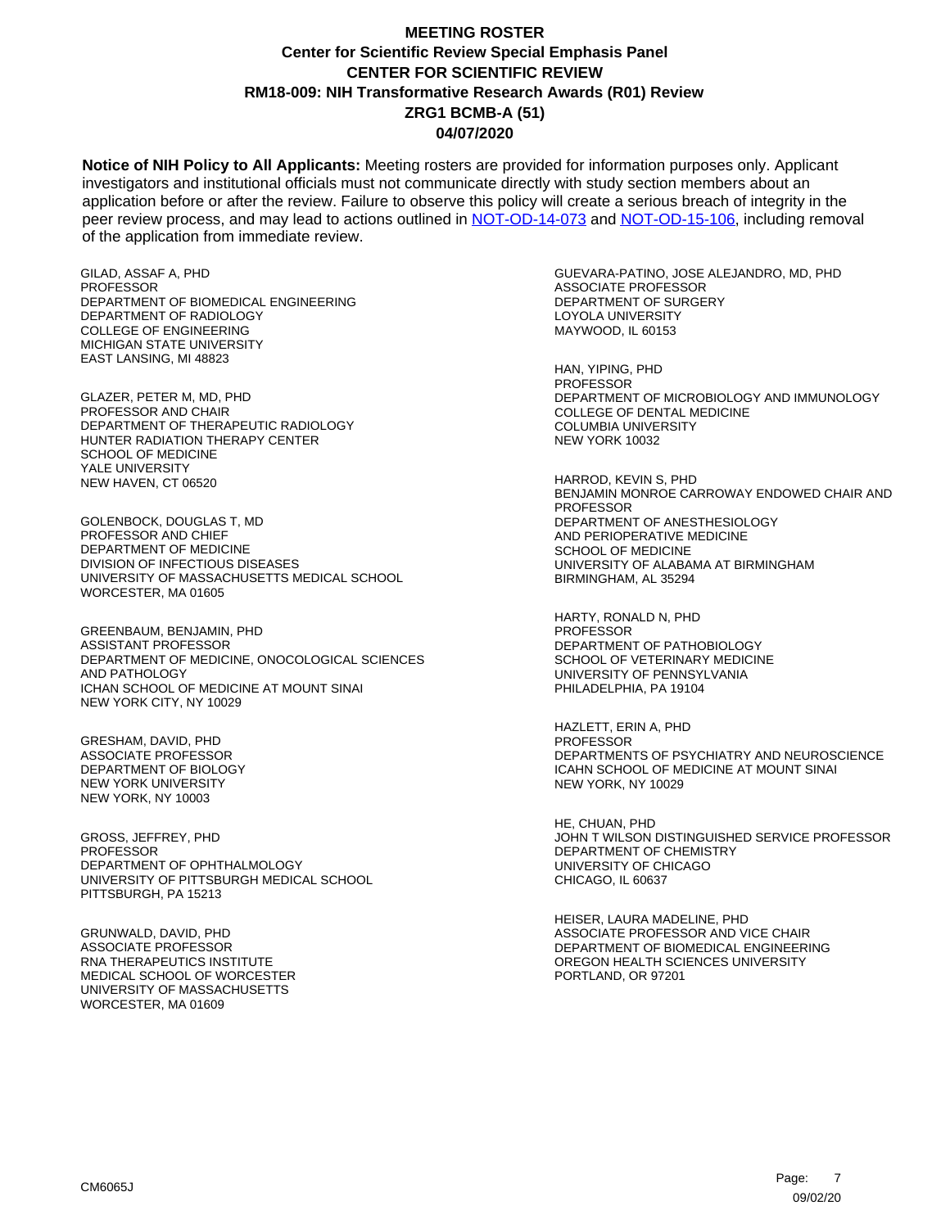**Notice of NIH Policy to All Applicants:** Meeting rosters are provided for information purposes only. Applicant investigators and institutional officials must not communicate directly with study section members about an application before or after the review. Failure to observe this policy will create a serious breach of integrity in the peer review process, and may lead to actions outlined in [NOT-OD-14-073](https://grants.nih.gov/grants/guide/notice-files/NOT-OD-14-073.html) and [NOT-OD-15-106,](https://grants.nih.gov/grants/guide/notice-files/NOT-OD-15-106.html) including removal of the application from immediate review.

GILAD, ASSAF A, PHD PROFESSOR DEPARTMENT OF BIOMEDICAL ENGINEERING DEPARTMENT OF RADIOLOGY COLLEGE OF ENGINEERING MICHIGAN STATE UNIVERSITY EAST LANSING, MI 48823

GLAZER, PETER M, MD, PHD PROFESSOR AND CHAIR DEPARTMENT OF THERAPEUTIC RADIOLOGY HUNTER RADIATION THERAPY CENTER SCHOOL OF MEDICINE YALE UNIVERSITY NEW HAVEN, CT 06520

GOLENBOCK, DOUGLAS T, MD PROFESSOR AND CHIEF DEPARTMENT OF MEDICINE DIVISION OF INFECTIOUS DISEASES UNIVERSITY OF MASSACHUSETTS MEDICAL SCHOOL WORCESTER, MA 01605

GREENBAUM, BENJAMIN, PHD ASSISTANT PROFESSOR DEPARTMENT OF MEDICINE, ONOCOLOGICAL SCIENCES AND PATHOLOGY ICHAN SCHOOL OF MEDICINE AT MOUNT SINAI NEW YORK CITY, NY 10029

GRESHAM, DAVID, PHD ASSOCIATE PROFESSOR DEPARTMENT OF BIOLOGY NEW YORK UNIVERSITY NEW YORK, NY 10003

GROSS, JEFFREY, PHD PROFESSOR DEPARTMENT OF OPHTHALMOLOGY UNIVERSITY OF PITTSBURGH MEDICAL SCHOOL PITTSBURGH, PA 15213

GRUNWALD, DAVID, PHD ASSOCIATE PROFESSOR RNA THERAPEUTICS INSTITUTE MEDICAL SCHOOL OF WORCESTER UNIVERSITY OF MASSACHUSETTS WORCESTER, MA 01609

GUEVARA-PATINO, JOSE ALEJANDRO, MD, PHD ASSOCIATE PROFESSOR DEPARTMENT OF SURGERY LOYOLA UNIVERSITY MAYWOOD, IL 60153

HAN, YIPING, PHD **PROFESSOR** DEPARTMENT OF MICROBIOLOGY AND IMMUNOLOGY COLLEGE OF DENTAL MEDICINE COLUMBIA UNIVERSITY NEW YORK 10032

HARROD, KEVIN S, PHD BENJAMIN MONROE CARROWAY ENDOWED CHAIR AND PROFESSOR DEPARTMENT OF ANESTHESIOLOGY AND PERIOPERATIVE MEDICINE SCHOOL OF MEDICINE UNIVERSITY OF ALABAMA AT BIRMINGHAM BIRMINGHAM, AL 35294

HARTY, RONALD N, PHD PROFESSOR DEPARTMENT OF PATHOBIOLOGY SCHOOL OF VETERINARY MEDICINE UNIVERSITY OF PENNSYLVANIA PHILADELPHIA, PA 19104

HAZLETT, ERIN A, PHD PROFESSOR DEPARTMENTS OF PSYCHIATRY AND NEUROSCIENCE ICAHN SCHOOL OF MEDICINE AT MOUNT SINAI NEW YORK, NY 10029

HE, CHUAN, PHD JOHN T WILSON DISTINGUISHED SERVICE PROFESSOR DEPARTMENT OF CHEMISTRY UNIVERSITY OF CHICAGO CHICAGO, IL 60637

HEISER, LAURA MADELINE, PHD ASSOCIATE PROFESSOR AND VICE CHAIR DEPARTMENT OF BIOMEDICAL ENGINEERING OREGON HEALTH SCIENCES UNIVERSITY PORTLAND, OR 97201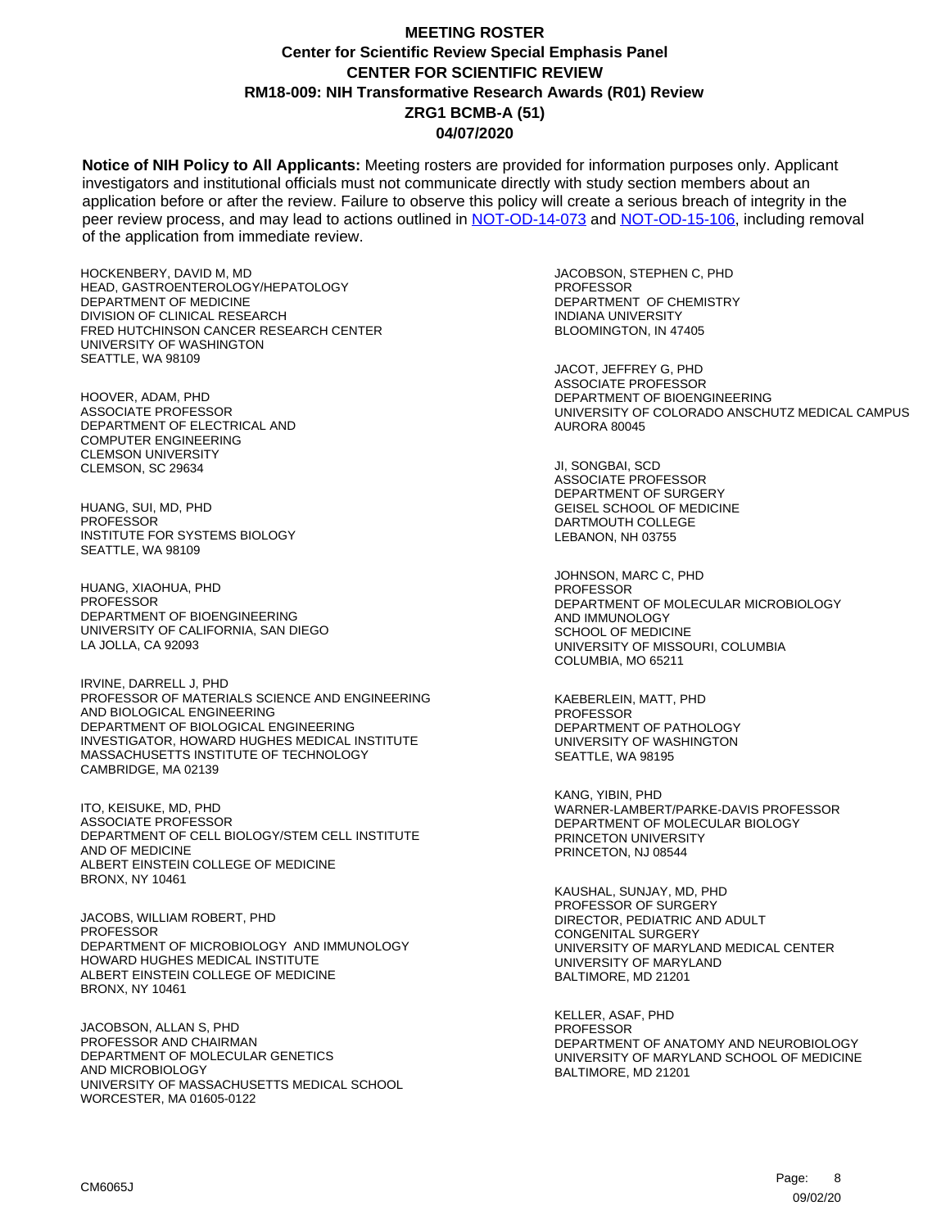**Notice of NIH Policy to All Applicants:** Meeting rosters are provided for information purposes only. Applicant investigators and institutional officials must not communicate directly with study section members about an application before or after the review. Failure to observe this policy will create a serious breach of integrity in the peer review process, and may lead to actions outlined in [NOT-OD-14-073](https://grants.nih.gov/grants/guide/notice-files/NOT-OD-14-073.html) and [NOT-OD-15-106,](https://grants.nih.gov/grants/guide/notice-files/NOT-OD-15-106.html) including removal of the application from immediate review.

HOCKENBERY, DAVID M, MD HEAD, GASTROENTEROLOGY/HEPATOLOGY DEPARTMENT OF MEDICINE DIVISION OF CLINICAL RESEARCH FRED HUTCHINSON CANCER RESEARCH CENTER UNIVERSITY OF WASHINGTON SEATTLE, WA 98109

HOOVER, ADAM, PHD ASSOCIATE PROFESSOR DEPARTMENT OF ELECTRICAL AND COMPUTER ENGINEERING CLEMSON UNIVERSITY CLEMSON, SC 29634

HUANG, SUI, MD, PHD **PROFESSOR** INSTITUTE FOR SYSTEMS BIOLOGY SEATTLE, WA 98109

HUANG, XIAOHUA, PHD PROFESSOR DEPARTMENT OF BIOENGINEERING UNIVERSITY OF CALIFORNIA, SAN DIEGO LA JOLLA, CA 92093

IRVINE, DARRELL J, PHD PROFESSOR OF MATERIALS SCIENCE AND ENGINEERING AND BIOLOGICAL ENGINEERING DEPARTMENT OF BIOLOGICAL ENGINEERING INVESTIGATOR, HOWARD HUGHES MEDICAL INSTITUTE MASSACHUSETTS INSTITUTE OF TECHNOLOGY CAMBRIDGE, MA 02139

ITO, KEISUKE, MD, PHD ASSOCIATE PROFESSOR DEPARTMENT OF CELL BIOLOGY/STEM CELL INSTITUTE AND OF MEDICINE ALBERT EINSTEIN COLLEGE OF MEDICINE BRONX, NY 10461

JACOBS, WILLIAM ROBERT, PHD PROFESSOR DEPARTMENT OF MICROBIOLOGY AND IMMUNOLOGY HOWARD HUGHES MEDICAL INSTITUTE ALBERT EINSTEIN COLLEGE OF MEDICINE BRONX, NY 10461

JACOBSON, ALLAN S, PHD PROFESSOR AND CHAIRMAN DEPARTMENT OF MOLECULAR GENETICS AND MICROBIOLOGY UNIVERSITY OF MASSACHUSETTS MEDICAL SCHOOL WORCESTER, MA 01605-0122

JACOBSON, STEPHEN C, PHD PROFESSOR DEPARTMENT OF CHEMISTRY INDIANA UNIVERSITY BLOOMINGTON, IN 47405

JACOT, JEFFREY G, PHD ASSOCIATE PROFESSOR DEPARTMENT OF BIOENGINEERING UNIVERSITY OF COLORADO ANSCHUTZ MEDICAL CAMPUS AURORA 80045

JI, SONGBAI, SCD ASSOCIATE PROFESSOR DEPARTMENT OF SURGERY GEISEL SCHOOL OF MEDICINE DARTMOUTH COLLEGE LEBANON, NH 03755

JOHNSON, MARC C, PHD PROFESSOR DEPARTMENT OF MOLECULAR MICROBIOLOGY AND IMMUNOLOGY SCHOOL OF MEDICINE UNIVERSITY OF MISSOURI, COLUMBIA COLUMBIA, MO 65211

KAEBERLEIN, MATT, PHD PROFESSOR DEPARTMENT OF PATHOLOGY UNIVERSITY OF WASHINGTON SEATTLE, WA 98195

KANG, YIBIN, PHD WARNER-LAMBERT/PARKE-DAVIS PROFESSOR DEPARTMENT OF MOLECULAR BIOLOGY PRINCETON UNIVERSITY PRINCETON, NJ 08544

KAUSHAL, SUNJAY, MD, PHD PROFESSOR OF SURGERY DIRECTOR, PEDIATRIC AND ADULT CONGENITAL SURGERY UNIVERSITY OF MARYLAND MEDICAL CENTER UNIVERSITY OF MARYLAND BALTIMORE, MD 21201

KELLER, ASAF, PHD PROFESSOR DEPARTMENT OF ANATOMY AND NEUROBIOLOGY UNIVERSITY OF MARYLAND SCHOOL OF MEDICINE BALTIMORE, MD 21201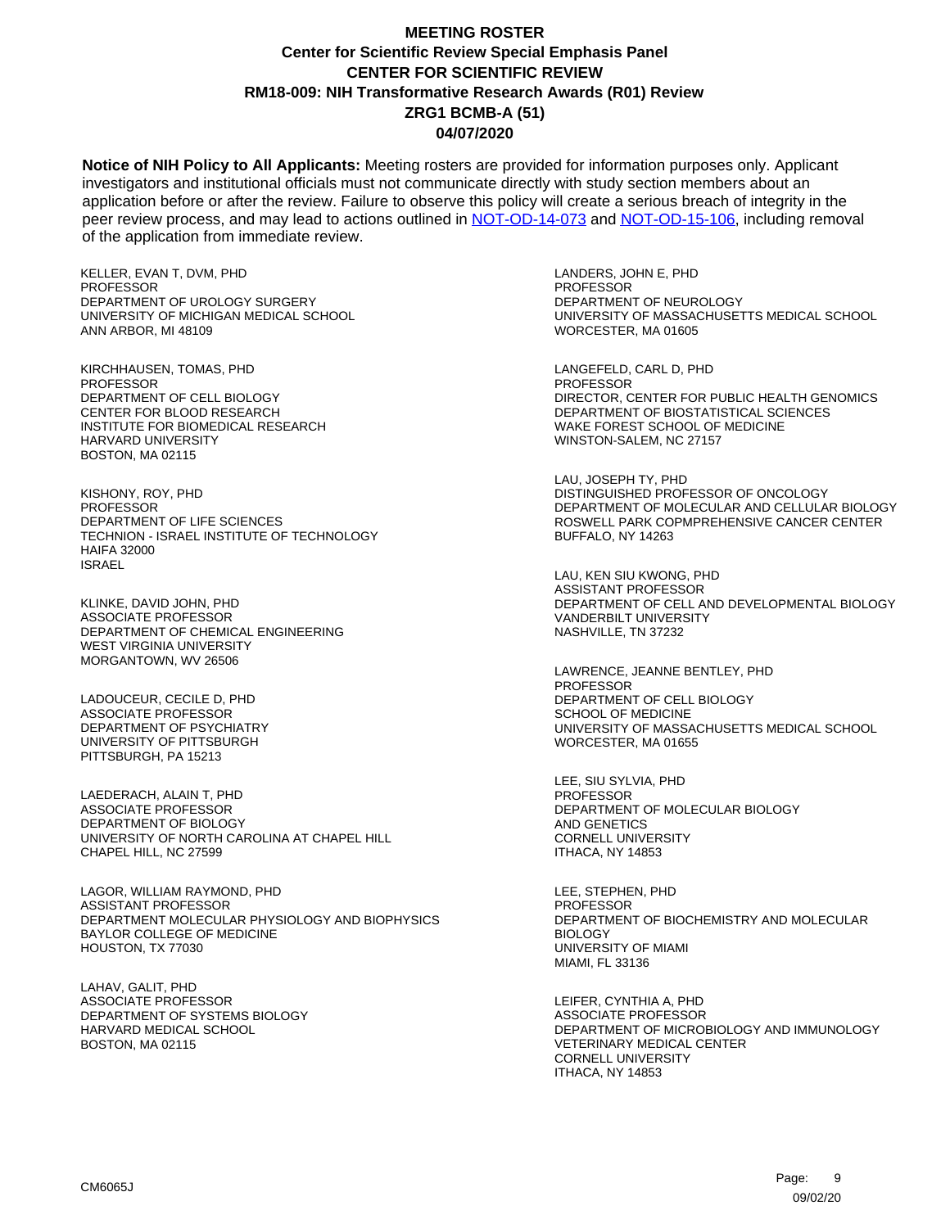**Notice of NIH Policy to All Applicants:** Meeting rosters are provided for information purposes only. Applicant investigators and institutional officials must not communicate directly with study section members about an application before or after the review. Failure to observe this policy will create a serious breach of integrity in the peer review process, and may lead to actions outlined in [NOT-OD-14-073](https://grants.nih.gov/grants/guide/notice-files/NOT-OD-14-073.html) and [NOT-OD-15-106,](https://grants.nih.gov/grants/guide/notice-files/NOT-OD-15-106.html) including removal of the application from immediate review.

KELLER, EVAN T, DVM, PHD PROFESSOR DEPARTMENT OF UROLOGY SURGERY UNIVERSITY OF MICHIGAN MEDICAL SCHOOL ANN ARBOR, MI 48109

KIRCHHAUSEN, TOMAS, PHD **PROFESSOR** DEPARTMENT OF CELL BIOLOGY CENTER FOR BLOOD RESEARCH INSTITUTE FOR BIOMEDICAL RESEARCH HARVARD UNIVERSITY BOSTON, MA 02115

KISHONY, ROY, PHD PROFESSOR DEPARTMENT OF LIFE SCIENCES TECHNION - ISRAEL INSTITUTE OF TECHNOLOGY HAIFA 32000 ISRAEL

KLINKE, DAVID JOHN, PHD ASSOCIATE PROFESSOR DEPARTMENT OF CHEMICAL ENGINEERING WEST VIRGINIA UNIVERSITY MORGANTOWN, WV 26506

LADOUCEUR, CECILE D, PHD ASSOCIATE PROFESSOR DEPARTMENT OF PSYCHIATRY UNIVERSITY OF PITTSBURGH PITTSBURGH, PA 15213

LAEDERACH, ALAIN T, PHD ASSOCIATE PROFESSOR DEPARTMENT OF BIOLOGY UNIVERSITY OF NORTH CAROLINA AT CHAPEL HILL CHAPEL HILL, NC 27599

LAGOR, WILLIAM RAYMOND, PHD ASSISTANT PROFESSOR DEPARTMENT MOLECULAR PHYSIOLOGY AND BIOPHYSICS BAYLOR COLLEGE OF MEDICINE HOUSTON, TX 77030

LAHAV, GALIT, PHD ASSOCIATE PROFESSOR DEPARTMENT OF SYSTEMS BIOLOGY HARVARD MEDICAL SCHOOL BOSTON, MA 02115

LANDERS, JOHN E, PHD PROFESSOR DEPARTMENT OF NEUROLOGY UNIVERSITY OF MASSACHUSETTS MEDICAL SCHOOL WORCESTER, MA 01605

LANGEFELD, CARL D, PHD **PROFESSOR** DIRECTOR, CENTER FOR PUBLIC HEALTH GENOMICS DEPARTMENT OF BIOSTATISTICAL SCIENCES WAKE FOREST SCHOOL OF MEDICINE WINSTON-SALEM, NC 27157

LAU, JOSEPH TY, PHD DISTINGUISHED PROFESSOR OF ONCOLOGY DEPARTMENT OF MOLECULAR AND CELLULAR BIOLOGY ROSWELL PARK COPMPREHENSIVE CANCER CENTER BUFFALO, NY 14263

LAU, KEN SIU KWONG, PHD ASSISTANT PROFESSOR DEPARTMENT OF CELL AND DEVELOPMENTAL BIOLOGY VANDERBILT UNIVERSITY NASHVILLE, TN 37232

LAWRENCE, JEANNE BENTLEY, PHD PROFESSOR DEPARTMENT OF CELL BIOLOGY SCHOOL OF MEDICINE UNIVERSITY OF MASSACHUSETTS MEDICAL SCHOOL WORCESTER, MA 01655

LEE, SIU SYLVIA, PHD PROFESSOR DEPARTMENT OF MOLECULAR BIOLOGY AND GENETICS CORNELL UNIVERSITY ITHACA, NY 14853

LEE, STEPHEN, PHD PROFESSOR DEPARTMENT OF BIOCHEMISTRY AND MOLECULAR **BIOLOGY** UNIVERSITY OF MIAMI MIAMI, FL 33136

LEIFER, CYNTHIA A, PHD ASSOCIATE PROFESSOR DEPARTMENT OF MICROBIOLOGY AND IMMUNOLOGY VETERINARY MEDICAL CENTER CORNELL UNIVERSITY ITHACA, NY 14853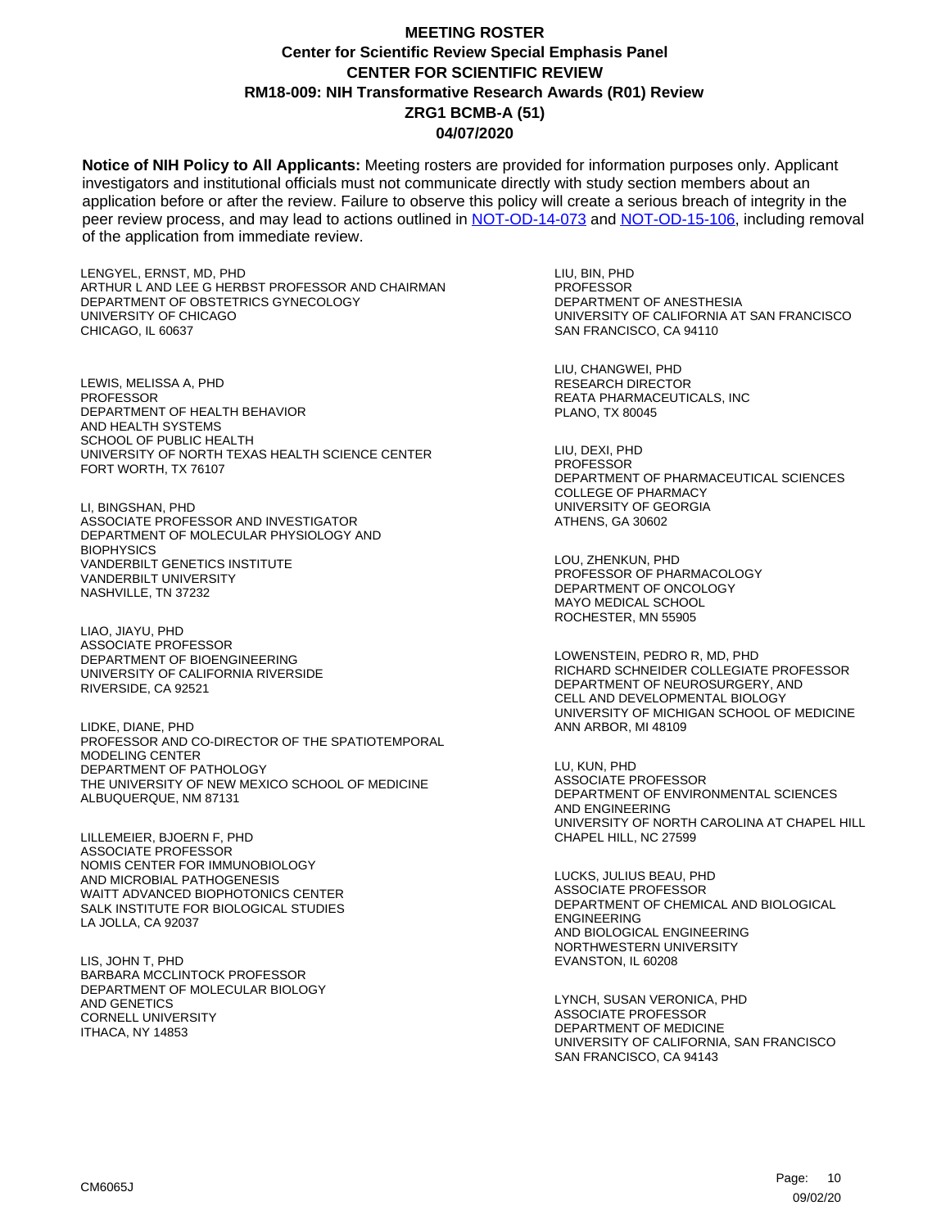**Notice of NIH Policy to All Applicants:** Meeting rosters are provided for information purposes only. Applicant investigators and institutional officials must not communicate directly with study section members about an application before or after the review. Failure to observe this policy will create a serious breach of integrity in the peer review process, and may lead to actions outlined in [NOT-OD-14-073](https://grants.nih.gov/grants/guide/notice-files/NOT-OD-14-073.html) and [NOT-OD-15-106,](https://grants.nih.gov/grants/guide/notice-files/NOT-OD-15-106.html) including removal of the application from immediate review.

LENGYEL, ERNST, MD, PHD ARTHUR L AND LEE G HERBST PROFESSOR AND CHAIRMAN DEPARTMENT OF OBSTETRICS GYNECOLOGY UNIVERSITY OF CHICAGO CHICAGO, IL 60637

LEWIS, MELISSA A, PHD **PROFESSOR** DEPARTMENT OF HEALTH BEHAVIOR AND HEALTH SYSTEMS SCHOOL OF PUBLIC HEALTH UNIVERSITY OF NORTH TEXAS HEALTH SCIENCE CENTER FORT WORTH, TX 76107

LI, BINGSHAN, PHD ASSOCIATE PROFESSOR AND INVESTIGATOR DEPARTMENT OF MOLECULAR PHYSIOLOGY AND **BIOPHYSICS** VANDERBILT GENETICS INSTITUTE VANDERBILT UNIVERSITY NASHVILLE, TN 37232

LIAO, JIAYU, PHD ASSOCIATE PROFESSOR DEPARTMENT OF BIOENGINEERING UNIVERSITY OF CALIFORNIA RIVERSIDE RIVERSIDE, CA 92521

LIDKE, DIANE, PHD PROFESSOR AND CO-DIRECTOR OF THE SPATIOTEMPORAL MODELING CENTER DEPARTMENT OF PATHOLOGY THE UNIVERSITY OF NEW MEXICO SCHOOL OF MEDICINE ALBUQUERQUE, NM 87131

LILLEMEIER, BJOERN F, PHD ASSOCIATE PROFESSOR NOMIS CENTER FOR IMMUNOBIOLOGY AND MICROBIAL PATHOGENESIS WAITT ADVANCED BIOPHOTONICS CENTER SALK INSTITUTE FOR BIOLOGICAL STUDIES LA JOLLA, CA 92037

LIS, JOHN T, PHD BARBARA MCCLINTOCK PROFESSOR DEPARTMENT OF MOLECULAR BIOLOGY AND GENETICS CORNELL UNIVERSITY ITHACA, NY 14853

LIU, BIN, PHD PROFESSOR DEPARTMENT OF ANESTHESIA UNIVERSITY OF CALIFORNIA AT SAN FRANCISCO SAN FRANCISCO, CA 94110

LIU, CHANGWEI, PHD RESEARCH DIRECTOR REATA PHARMACEUTICALS, INC PLANO, TX 80045

LIU, DEXI, PHD **PROFESSOR** DEPARTMENT OF PHARMACEUTICAL SCIENCES COLLEGE OF PHARMACY UNIVERSITY OF GEORGIA ATHENS, GA 30602

LOU, ZHENKUN, PHD PROFESSOR OF PHARMACOLOGY DEPARTMENT OF ONCOLOGY MAYO MEDICAL SCHOOL ROCHESTER, MN 55905

LOWENSTEIN, PEDRO R, MD, PHD RICHARD SCHNEIDER COLLEGIATE PROFESSOR DEPARTMENT OF NEUROSURGERY, AND CELL AND DEVELOPMENTAL BIOLOGY UNIVERSITY OF MICHIGAN SCHOOL OF MEDICINE ANN ARBOR, MI 48109

LU, KUN, PHD ASSOCIATE PROFESSOR DEPARTMENT OF ENVIRONMENTAL SCIENCES AND ENGINEERING UNIVERSITY OF NORTH CAROLINA AT CHAPEL HILL CHAPEL HILL, NC 27599

LUCKS, JULIUS BEAU, PHD ASSOCIATE PROFESSOR DEPARTMENT OF CHEMICAL AND BIOLOGICAL ENGINEERING AND BIOLOGICAL ENGINEERING NORTHWESTERN UNIVERSITY EVANSTON, IL 60208

LYNCH, SUSAN VERONICA, PHD ASSOCIATE PROFESSOR DEPARTMENT OF MEDICINE UNIVERSITY OF CALIFORNIA, SAN FRANCISCO SAN FRANCISCO, CA 94143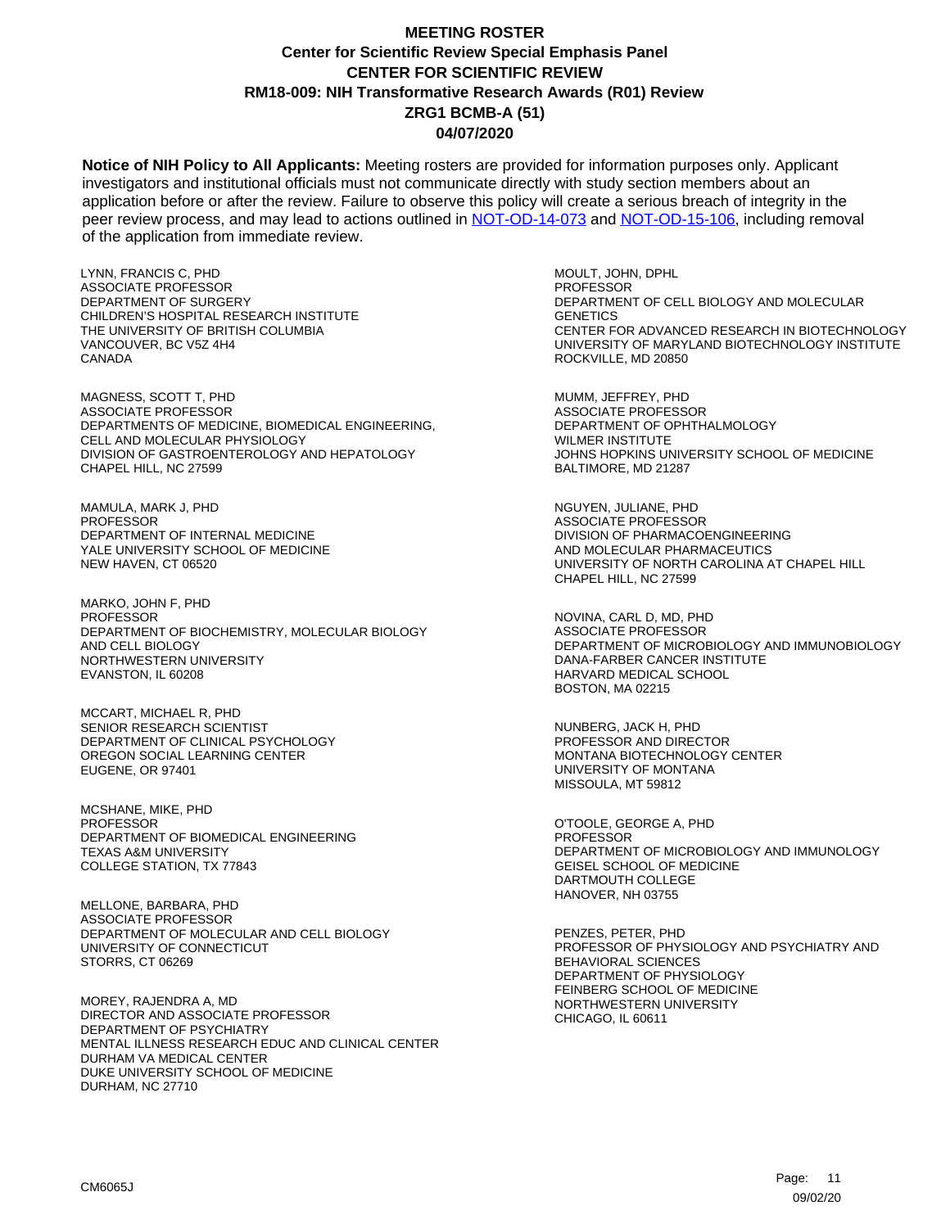**Notice of NIH Policy to All Applicants:** Meeting rosters are provided for information purposes only. Applicant investigators and institutional officials must not communicate directly with study section members about an application before or after the review. Failure to observe this policy will create a serious breach of integrity in the peer review process, and may lead to actions outlined in [NOT-OD-14-073](https://grants.nih.gov/grants/guide/notice-files/NOT-OD-14-073.html) and [NOT-OD-15-106,](https://grants.nih.gov/grants/guide/notice-files/NOT-OD-15-106.html) including removal of the application from immediate review.

LYNN, FRANCIS C, PHD ASSOCIATE PROFESSOR DEPARTMENT OF SURGERY CHILDREN'S HOSPITAL RESEARCH INSTITUTE THE UNIVERSITY OF BRITISH COLUMBIA VANCOUVER, BC V5Z 4H4 CANADA

MAGNESS, SCOTT T, PHD ASSOCIATE PROFESSOR DEPARTMENTS OF MEDICINE, BIOMEDICAL ENGINEERING, CELL AND MOLECULAR PHYSIOLOGY DIVISION OF GASTROENTEROLOGY AND HEPATOLOGY CHAPEL HILL, NC 27599

MAMULA, MARK J, PHD **PROFESSOR** DEPARTMENT OF INTERNAL MEDICINE YALE UNIVERSITY SCHOOL OF MEDICINE NEW HAVEN, CT 06520

MARKO, JOHN F, PHD PROFESSOR DEPARTMENT OF BIOCHEMISTRY, MOLECULAR BIOLOGY AND CELL BIOLOGY NORTHWESTERN UNIVERSITY EVANSTON, IL 60208

MCCART, MICHAEL R, PHD SENIOR RESEARCH SCIENTIST DEPARTMENT OF CLINICAL PSYCHOLOGY OREGON SOCIAL LEARNING CENTER EUGENE, OR 97401

MCSHANE, MIKE, PHD PROFESSOR DEPARTMENT OF BIOMEDICAL ENGINEERING TEXAS A&M UNIVERSITY COLLEGE STATION, TX 77843

MELLONE, BARBARA, PHD ASSOCIATE PROFESSOR DEPARTMENT OF MOLECULAR AND CELL BIOLOGY UNIVERSITY OF CONNECTICUT STORRS, CT 06269

MOREY, RAJENDRA A, MD DIRECTOR AND ASSOCIATE PROFESSOR DEPARTMENT OF PSYCHIATRY MENTAL ILLNESS RESEARCH EDUC AND CLINICAL CENTER DURHAM VA MEDICAL CENTER DUKE UNIVERSITY SCHOOL OF MEDICINE DURHAM, NC 27710

MOULT, JOHN, DPHL PROFESSOR DEPARTMENT OF CELL BIOLOGY AND MOLECULAR **GENETICS** CENTER FOR ADVANCED RESEARCH IN BIOTECHNOLOGY UNIVERSITY OF MARYLAND BIOTECHNOLOGY INSTITUTE ROCKVILLE, MD 20850

MUMM, JEFFREY, PHD ASSOCIATE PROFESSOR DEPARTMENT OF OPHTHALMOLOGY WILMER INSTITUTE JOHNS HOPKINS UNIVERSITY SCHOOL OF MEDICINE BALTIMORE, MD 21287

NGUYEN, JULIANE, PHD ASSOCIATE PROFESSOR DIVISION OF PHARMACOENGINEERING AND MOLECULAR PHARMACEUTICS UNIVERSITY OF NORTH CAROLINA AT CHAPEL HILL CHAPEL HILL, NC 27599

NOVINA, CARL D, MD, PHD ASSOCIATE PROFESSOR DEPARTMENT OF MICROBIOLOGY AND IMMUNOBIOLOGY DANA-FARBER CANCER INSTITUTE HARVARD MEDICAL SCHOOL BOSTON, MA 02215

NUNBERG, JACK H, PHD PROFESSOR AND DIRECTOR MONTANA BIOTECHNOLOGY CENTER UNIVERSITY OF MONTANA MISSOULA, MT 59812

O'TOOLE, GEORGE A, PHD PROFESSOR DEPARTMENT OF MICROBIOLOGY AND IMMUNOLOGY GEISEL SCHOOL OF MEDICINE DARTMOUTH COLLEGE HANOVER, NH 03755

PENZES, PETER, PHD PROFESSOR OF PHYSIOLOGY AND PSYCHIATRY AND BEHAVIORAL SCIENCES DEPARTMENT OF PHYSIOLOGY FEINBERG SCHOOL OF MEDICINE NORTHWESTERN UNIVERSITY CHICAGO, IL 60611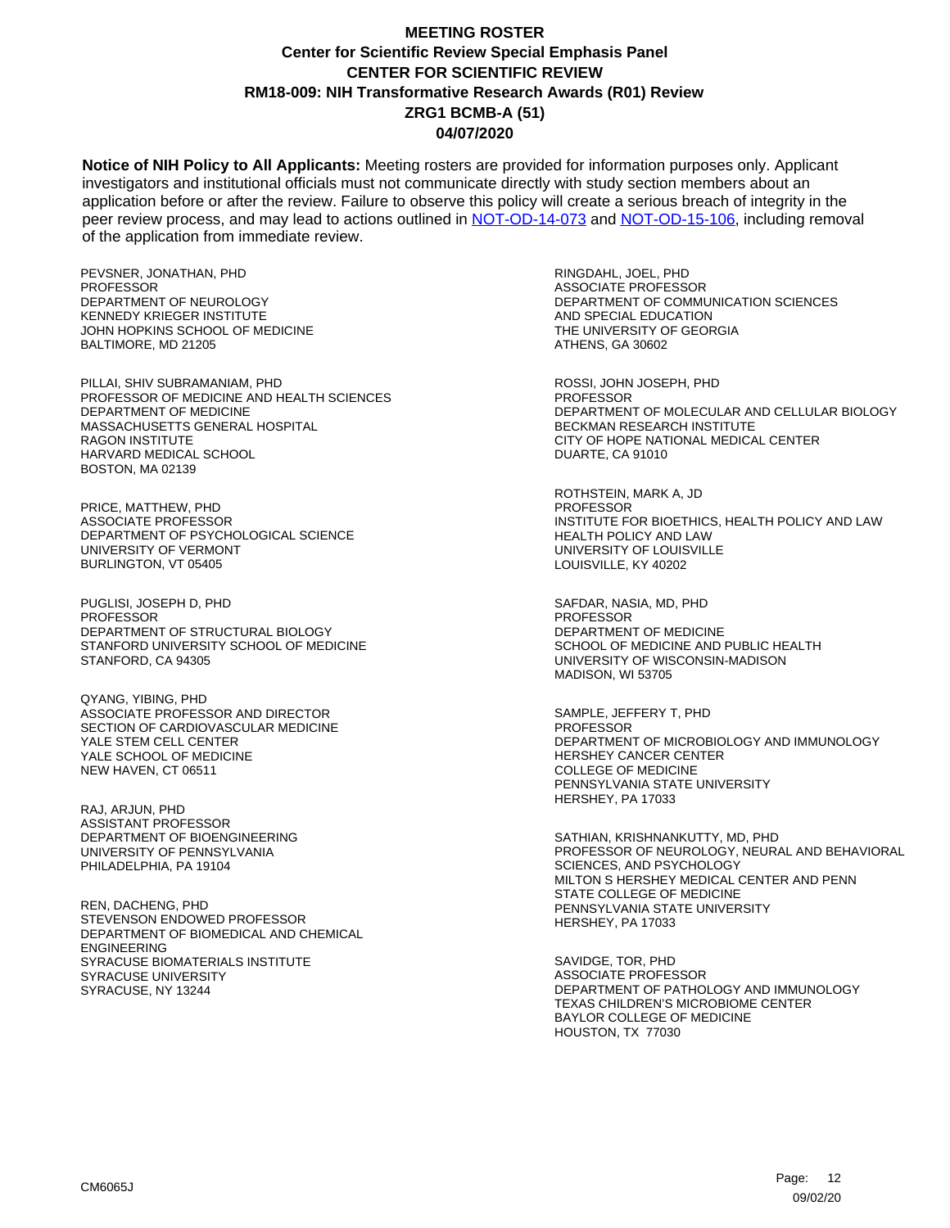**Notice of NIH Policy to All Applicants:** Meeting rosters are provided for information purposes only. Applicant investigators and institutional officials must not communicate directly with study section members about an application before or after the review. Failure to observe this policy will create a serious breach of integrity in the peer review process, and may lead to actions outlined in [NOT-OD-14-073](https://grants.nih.gov/grants/guide/notice-files/NOT-OD-14-073.html) and [NOT-OD-15-106,](https://grants.nih.gov/grants/guide/notice-files/NOT-OD-15-106.html) including removal of the application from immediate review.

PEVSNER, JONATHAN, PHD PROFESSOR DEPARTMENT OF NEUROLOGY KENNEDY KRIEGER INSTITUTE JOHN HOPKINS SCHOOL OF MEDICINE BALTIMORE, MD 21205

PILLAI, SHIV SUBRAMANIAM, PHD PROFESSOR OF MEDICINE AND HEALTH SCIENCES DEPARTMENT OF MEDICINE MASSACHUSETTS GENERAL HOSPITAL RAGON INSTITUTE HARVARD MEDICAL SCHOOL BOSTON, MA 02139

PRICE, MATTHEW, PHD ASSOCIATE PROFESSOR DEPARTMENT OF PSYCHOLOGICAL SCIENCE UNIVERSITY OF VERMONT BURLINGTON, VT 05405

PUGLISI, JOSEPH D, PHD PROFESSOR DEPARTMENT OF STRUCTURAL BIOLOGY STANFORD UNIVERSITY SCHOOL OF MEDICINE STANFORD, CA 94305

QYANG, YIBING, PHD ASSOCIATE PROFESSOR AND DIRECTOR SECTION OF CARDIOVASCULAR MEDICINE YALE STEM CELL CENTER YALE SCHOOL OF MEDICINE NEW HAVEN, CT 06511

RAJ, ARJUN, PHD ASSISTANT PROFESSOR DEPARTMENT OF BIOENGINEERING UNIVERSITY OF PENNSYLVANIA PHILADELPHIA, PA 19104

REN, DACHENG, PHD STEVENSON ENDOWED PROFESSOR DEPARTMENT OF BIOMEDICAL AND CHEMICAL ENGINEERING SYRACUSE BIOMATERIALS INSTITUTE SYRACUSE UNIVERSITY SYRACUSE, NY 13244

RINGDAHL, JOEL, PHD ASSOCIATE PROFESSOR DEPARTMENT OF COMMUNICATION SCIENCES AND SPECIAL EDUCATION THE UNIVERSITY OF GEORGIA ATHENS, GA 30602

ROSSI, JOHN JOSEPH, PHD **PROFESSOR** DEPARTMENT OF MOLECULAR AND CELLULAR BIOLOGY BECKMAN RESEARCH INSTITUTE CITY OF HOPE NATIONAL MEDICAL CENTER DUARTE, CA 91010

ROTHSTEIN, MARK A, JD PROFESSOR INSTITUTE FOR BIOETHICS, HEALTH POLICY AND LAW HEALTH POLICY AND LAW UNIVERSITY OF LOUISVILLE LOUISVILLE, KY 40202

SAFDAR, NASIA, MD, PHD PROFESSOR DEPARTMENT OF MEDICINE SCHOOL OF MEDICINE AND PUBLIC HEALTH UNIVERSITY OF WISCONSIN-MADISON MADISON, WI 53705

SAMPLE, JEFFERY T, PHD PROFESSOR DEPARTMENT OF MICROBIOLOGY AND IMMUNOLOGY HERSHEY CANCER CENTER COLLEGE OF MEDICINE PENNSYLVANIA STATE UNIVERSITY HERSHEY, PA 17033

SATHIAN, KRISHNANKUTTY, MD, PHD PROFESSOR OF NEUROLOGY, NEURAL AND BEHAVIORAL SCIENCES, AND PSYCHOLOGY MILTON S HERSHEY MEDICAL CENTER AND PENN STATE COLLEGE OF MEDICINE PENNSYLVANIA STATE UNIVERSITY HERSHEY, PA 17033

SAVIDGE, TOR, PHD ASSOCIATE PROFESSOR DEPARTMENT OF PATHOLOGY AND IMMUNOLOGY TEXAS CHILDREN'S MICROBIOME CENTER BAYLOR COLLEGE OF MEDICINE HOUSTON, TX 77030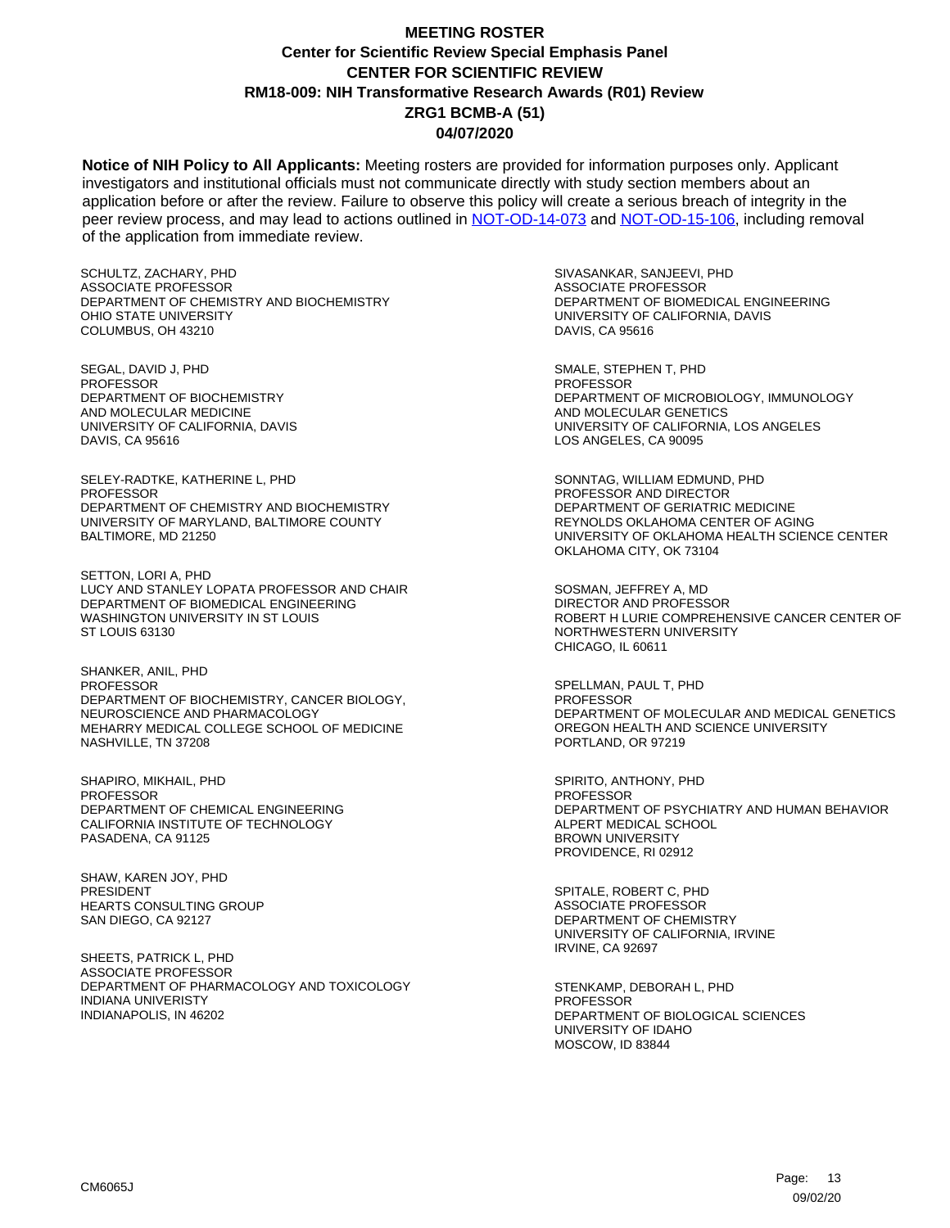**Notice of NIH Policy to All Applicants:** Meeting rosters are provided for information purposes only. Applicant investigators and institutional officials must not communicate directly with study section members about an application before or after the review. Failure to observe this policy will create a serious breach of integrity in the peer review process, and may lead to actions outlined in [NOT-OD-14-073](https://grants.nih.gov/grants/guide/notice-files/NOT-OD-14-073.html) and [NOT-OD-15-106,](https://grants.nih.gov/grants/guide/notice-files/NOT-OD-15-106.html) including removal of the application from immediate review.

SCHULTZ, ZACHARY, PHD ASSOCIATE PROFESSOR DEPARTMENT OF CHEMISTRY AND BIOCHEMISTRY OHIO STATE UNIVERSITY COLUMBUS, OH 43210

SEGAL, DAVID J, PHD **PROFESSOR** DEPARTMENT OF BIOCHEMISTRY AND MOLECULAR MEDICINE UNIVERSITY OF CALIFORNIA, DAVIS DAVIS, CA 95616

SELEY-RADTKE, KATHERINE L, PHD PROFESSOR DEPARTMENT OF CHEMISTRY AND BIOCHEMISTRY UNIVERSITY OF MARYLAND, BALTIMORE COUNTY BALTIMORE, MD 21250

SETTON, LORI A, PHD LUCY AND STANLEY LOPATA PROFESSOR AND CHAIR DEPARTMENT OF BIOMEDICAL ENGINEERING WASHINGTON UNIVERSITY IN ST LOUIS ST LOUIS 63130

SHANKER, ANIL, PHD PROFESSOR DEPARTMENT OF BIOCHEMISTRY, CANCER BIOLOGY, NEUROSCIENCE AND PHARMACOLOGY MEHARRY MEDICAL COLLEGE SCHOOL OF MEDICINE NASHVILLE, TN 37208

SHAPIRO, MIKHAIL, PHD PROFESSOR DEPARTMENT OF CHEMICAL ENGINEERING CALIFORNIA INSTITUTE OF TECHNOLOGY PASADENA, CA 91125

SHAW, KAREN JOY, PHD PRESIDENT HEARTS CONSULTING GROUP SAN DIEGO, CA 92127

SHEETS, PATRICK L, PHD ASSOCIATE PROFESSOR DEPARTMENT OF PHARMACOLOGY AND TOXICOLOGY INDIANA UNIVERISTY INDIANAPOLIS, IN 46202

SIVASANKAR, SANJEEVI, PHD ASSOCIATE PROFESSOR DEPARTMENT OF BIOMEDICAL ENGINEERING UNIVERSITY OF CALIFORNIA, DAVIS DAVIS, CA 95616

SMALE, STEPHEN T, PHD **PROFESSOR** DEPARTMENT OF MICROBIOLOGY, IMMUNOLOGY AND MOLECULAR GENETICS UNIVERSITY OF CALIFORNIA, LOS ANGELES LOS ANGELES, CA 90095

SONNTAG, WILLIAM EDMUND, PHD PROFESSOR AND DIRECTOR DEPARTMENT OF GERIATRIC MEDICINE REYNOLDS OKLAHOMA CENTER OF AGING UNIVERSITY OF OKLAHOMA HEALTH SCIENCE CENTER OKLAHOMA CITY, OK 73104

SOSMAN, JEFFREY A, MD DIRECTOR AND PROFESSOR ROBERT H LURIE COMPREHENSIVE CANCER CENTER OF NORTHWESTERN UNIVERSITY CHICAGO, IL 60611

SPELLMAN, PAUL T, PHD PROFESSOR DEPARTMENT OF MOLECULAR AND MEDICAL GENETICS OREGON HEALTH AND SCIENCE UNIVERSITY PORTLAND, OR 97219

SPIRITO, ANTHONY, PHD PROFESSOR DEPARTMENT OF PSYCHIATRY AND HUMAN BEHAVIOR ALPERT MEDICAL SCHOOL BROWN UNIVERSITY PROVIDENCE, RI 02912

SPITALE, ROBERT C, PHD ASSOCIATE PROFESSOR DEPARTMENT OF CHEMISTRY UNIVERSITY OF CALIFORNIA, IRVINE IRVINE, CA 92697

STENKAMP, DEBORAH L, PHD PROFESSOR DEPARTMENT OF BIOLOGICAL SCIENCES UNIVERSITY OF IDAHO MOSCOW, ID 83844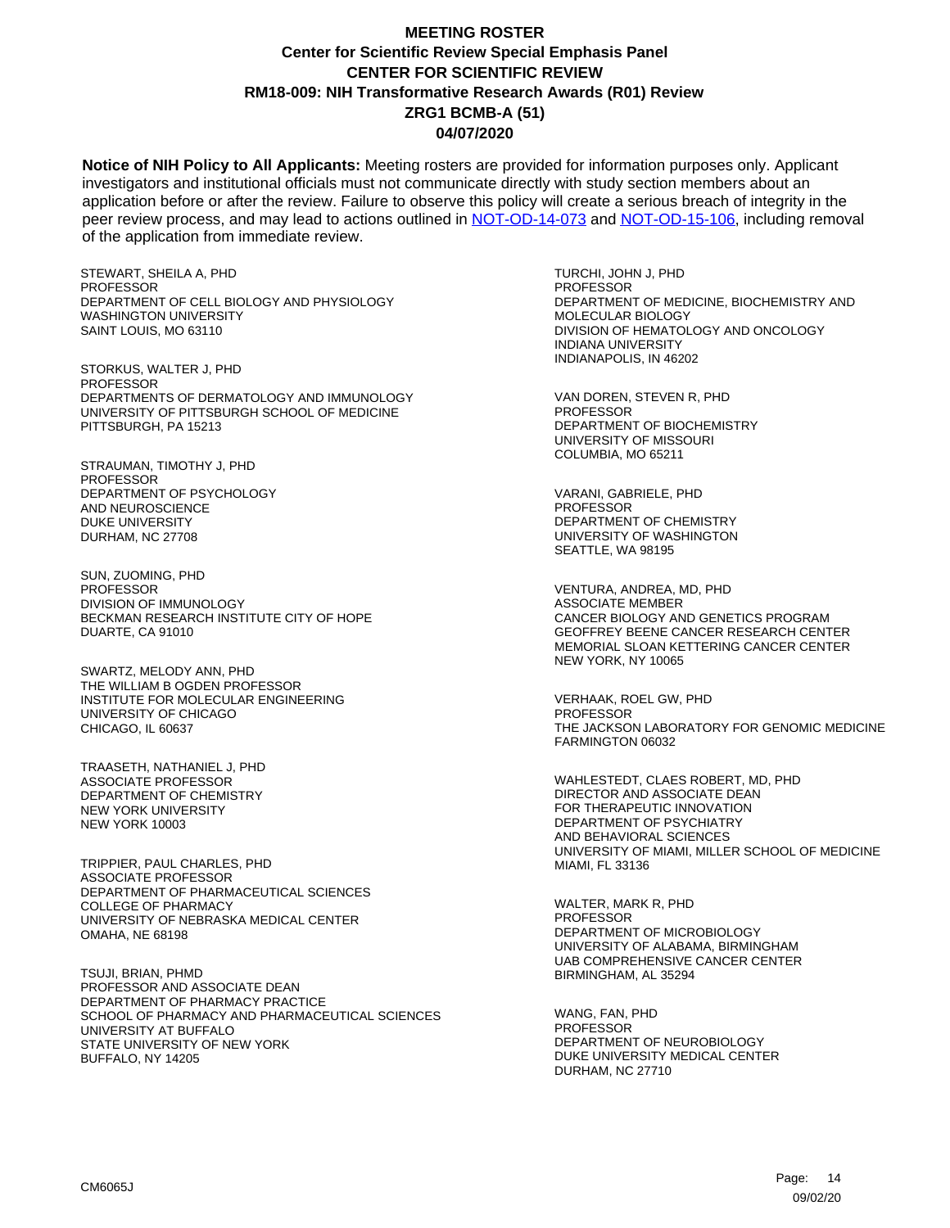**Notice of NIH Policy to All Applicants:** Meeting rosters are provided for information purposes only. Applicant investigators and institutional officials must not communicate directly with study section members about an application before or after the review. Failure to observe this policy will create a serious breach of integrity in the peer review process, and may lead to actions outlined in [NOT-OD-14-073](https://grants.nih.gov/grants/guide/notice-files/NOT-OD-14-073.html) and [NOT-OD-15-106,](https://grants.nih.gov/grants/guide/notice-files/NOT-OD-15-106.html) including removal of the application from immediate review.

STEWART, SHEILA A, PHD PROFESSOR DEPARTMENT OF CELL BIOLOGY AND PHYSIOLOGY WASHINGTON UNIVERSITY SAINT LOUIS, MO 63110

STORKUS, WALTER J, PHD **PROFESSOR** DEPARTMENTS OF DERMATOLOGY AND IMMUNOLOGY UNIVERSITY OF PITTSBURGH SCHOOL OF MEDICINE PITTSBURGH, PA 15213

STRAUMAN, TIMOTHY J, PHD PROFESSOR DEPARTMENT OF PSYCHOLOGY AND NEUROSCIENCE DUKE UNIVERSITY DURHAM, NC 27708

SUN, ZUOMING, PHD PROFESSOR DIVISION OF IMMUNOLOGY BECKMAN RESEARCH INSTITUTE CITY OF HOPE DUARTE, CA 91010

SWARTZ, MELODY ANN, PHD THE WILLIAM B OGDEN PROFESSOR INSTITUTE FOR MOLECULAR ENGINEERING UNIVERSITY OF CHICAGO CHICAGO, IL 60637

TRAASETH, NATHANIEL J, PHD ASSOCIATE PROFESSOR DEPARTMENT OF CHEMISTRY NEW YORK UNIVERSITY NEW YORK 10003

TRIPPIER, PAUL CHARLES, PHD ASSOCIATE PROFESSOR DEPARTMENT OF PHARMACEUTICAL SCIENCES COLLEGE OF PHARMACY UNIVERSITY OF NEBRASKA MEDICAL CENTER OMAHA, NE 68198

TSUJI, BRIAN, PHMD PROFESSOR AND ASSOCIATE DEAN DEPARTMENT OF PHARMACY PRACTICE SCHOOL OF PHARMACY AND PHARMACEUTICAL SCIENCES UNIVERSITY AT BUFFALO STATE UNIVERSITY OF NEW YORK BUFFALO, NY 14205

TURCHI, JOHN J, PHD PROFESSOR DEPARTMENT OF MEDICINE, BIOCHEMISTRY AND MOLECULAR BIOLOGY DIVISION OF HEMATOLOGY AND ONCOLOGY INDIANA UNIVERSITY INDIANAPOLIS, IN 46202

VAN DOREN, STEVEN R, PHD **PROFESSOR** DEPARTMENT OF BIOCHEMISTRY UNIVERSITY OF MISSOURI COLUMBIA, MO 65211

VARANI, GABRIELE, PHD PROFESSOR DEPARTMENT OF CHEMISTRY UNIVERSITY OF WASHINGTON SEATTLE, WA 98195

VENTURA, ANDREA, MD, PHD ASSOCIATE MEMBER CANCER BIOLOGY AND GENETICS PROGRAM GEOFFREY BEENE CANCER RESEARCH CENTER MEMORIAL SLOAN KETTERING CANCER CENTER NEW YORK, NY 10065

VERHAAK, ROEL GW, PHD PROFESSOR THE JACKSON LABORATORY FOR GENOMIC MEDICINE FARMINGTON 06032

WAHLESTEDT, CLAES ROBERT, MD, PHD DIRECTOR AND ASSOCIATE DEAN FOR THERAPEUTIC INNOVATION DEPARTMENT OF PSYCHIATRY AND BEHAVIORAL SCIENCES UNIVERSITY OF MIAMI, MILLER SCHOOL OF MEDICINE MIAMI, FL 33136

WALTER, MARK R, PHD PROFESSOR DEPARTMENT OF MICROBIOLOGY UNIVERSITY OF ALABAMA, BIRMINGHAM UAB COMPREHENSIVE CANCER CENTER BIRMINGHAM, AL 35294

WANG, FAN, PHD PROFESSOR DEPARTMENT OF NEUROBIOLOGY DUKE UNIVERSITY MEDICAL CENTER DURHAM, NC 27710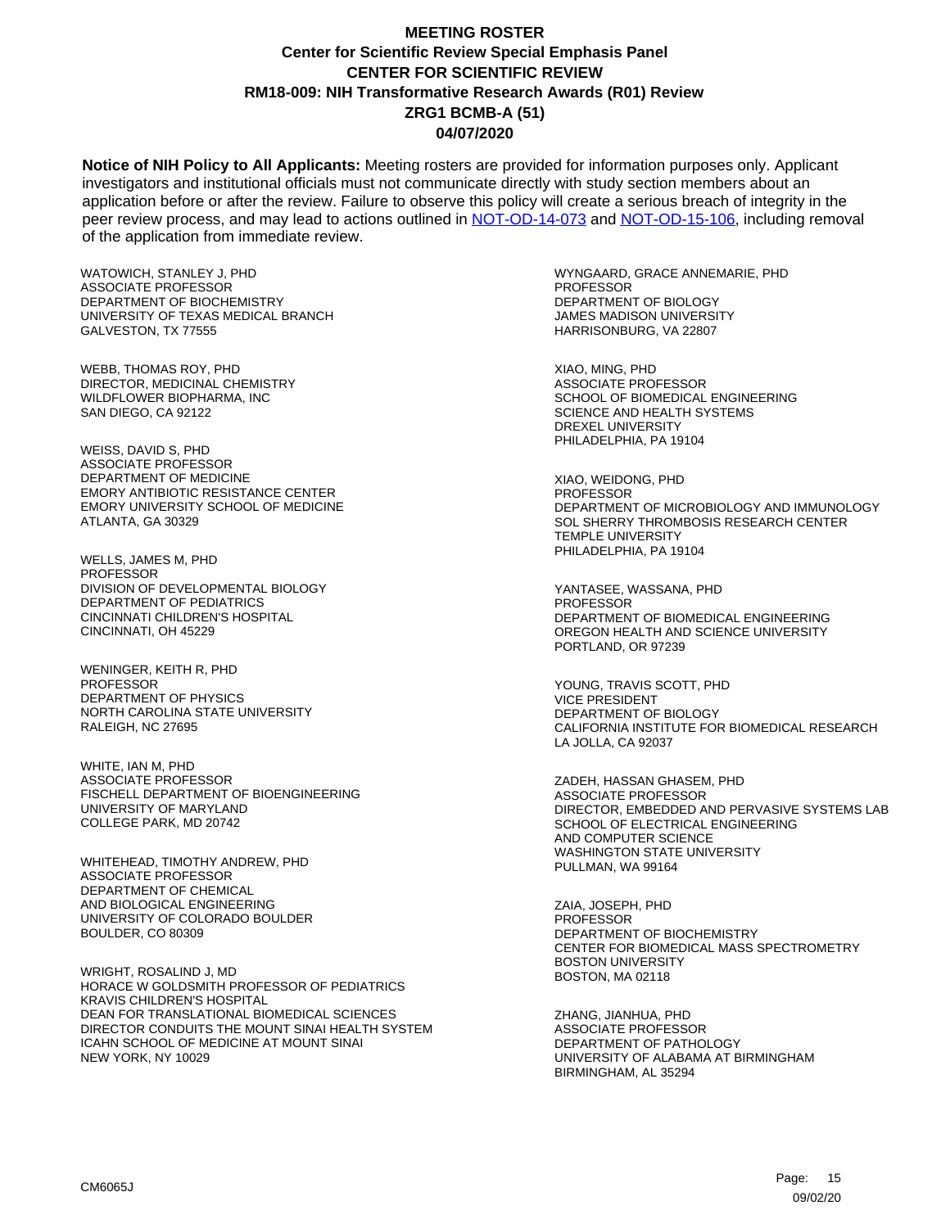**Notice of NIH Policy to All Applicants:** Meeting rosters are provided for information purposes only. Applicant investigators and institutional officials must not communicate directly with study section members about an application before or after the review. Failure to observe this policy will create a serious breach of integrity in the peer review process, and may lead to actions outlined in [NOT-OD-14-073](https://grants.nih.gov/grants/guide/notice-files/NOT-OD-14-073.html) and [NOT-OD-15-106,](https://grants.nih.gov/grants/guide/notice-files/NOT-OD-15-106.html) including removal of the application from immediate review.

WATOWICH, STANLEY J, PHD ASSOCIATE PROFESSOR DEPARTMENT OF BIOCHEMISTRY UNIVERSITY OF TEXAS MEDICAL BRANCH GALVESTON, TX 77555

WEBB, THOMAS ROY, PHD DIRECTOR, MEDICINAL CHEMISTRY WILDFLOWER BIOPHARMA, INC SAN DIEGO, CA 92122

WEISS, DAVID S, PHD ASSOCIATE PROFESSOR DEPARTMENT OF MEDICINE EMORY ANTIBIOTIC RESISTANCE CENTER EMORY UNIVERSITY SCHOOL OF MEDICINE ATLANTA, GA 30329

WELLS, JAMES M, PHD PROFESSOR DIVISION OF DEVELOPMENTAL BIOLOGY DEPARTMENT OF PEDIATRICS CINCINNATI CHILDREN'S HOSPITAL CINCINNATI, OH 45229

WENINGER, KEITH R, PHD **PROFESSOR** DEPARTMENT OF PHYSICS NORTH CAROLINA STATE UNIVERSITY RALEIGH, NC 27695

WHITE, IAN M, PHD ASSOCIATE PROFESSOR FISCHELL DEPARTMENT OF BIOENGINEERING UNIVERSITY OF MARYLAND COLLEGE PARK, MD 20742

WHITEHEAD, TIMOTHY ANDREW, PHD ASSOCIATE PROFESSOR DEPARTMENT OF CHEMICAL AND BIOLOGICAL ENGINEERING UNIVERSITY OF COLORADO BOULDER BOULDER, CO 80309

WRIGHT, ROSALIND J, MD HORACE W GOLDSMITH PROFESSOR OF PEDIATRICS KRAVIS CHILDREN'S HOSPITAL DEAN FOR TRANSLATIONAL BIOMEDICAL SCIENCES DIRECTOR CONDUITS THE MOUNT SINAI HEALTH SYSTEM ICAHN SCHOOL OF MEDICINE AT MOUNT SINAI NEW YORK, NY 10029

WYNGAARD, GRACE ANNEMARIE, PHD PROFESSOR DEPARTMENT OF BIOLOGY JAMES MADISON UNIVERSITY HARRISONBURG, VA 22807

XIAO, MING, PHD ASSOCIATE PROFESSOR SCHOOL OF BIOMEDICAL ENGINEERING SCIENCE AND HEALTH SYSTEMS DREXEL UNIVERSITY PHILADELPHIA, PA 19104

XIAO, WEIDONG, PHD **PROFESSOR** DEPARTMENT OF MICROBIOLOGY AND IMMUNOLOGY SOL SHERRY THROMBOSIS RESEARCH CENTER TEMPLE UNIVERSITY PHILADELPHIA, PA 19104

YANTASEE, WASSANA, PHD PROFESSOR DEPARTMENT OF BIOMEDICAL ENGINEERING OREGON HEALTH AND SCIENCE UNIVERSITY PORTLAND, OR 97239

YOUNG, TRAVIS SCOTT, PHD VICE PRESIDENT DEPARTMENT OF BIOLOGY CALIFORNIA INSTITUTE FOR BIOMEDICAL RESEARCH LA JOLLA, CA 92037

ZADEH, HASSAN GHASEM, PHD ASSOCIATE PROFESSOR DIRECTOR, EMBEDDED AND PERVASIVE SYSTEMS LAB SCHOOL OF ELECTRICAL ENGINEERING AND COMPUTER SCIENCE WASHINGTON STATE UNIVERSITY PULLMAN, WA 99164

ZAIA, JOSEPH, PHD PROFESSOR DEPARTMENT OF BIOCHEMISTRY CENTER FOR BIOMEDICAL MASS SPECTROMETRY BOSTON UNIVERSITY BOSTON, MA 02118

ZHANG, JIANHUA, PHD ASSOCIATE PROFESSOR DEPARTMENT OF PATHOLOGY UNIVERSITY OF ALABAMA AT BIRMINGHAM BIRMINGHAM, AL 35294